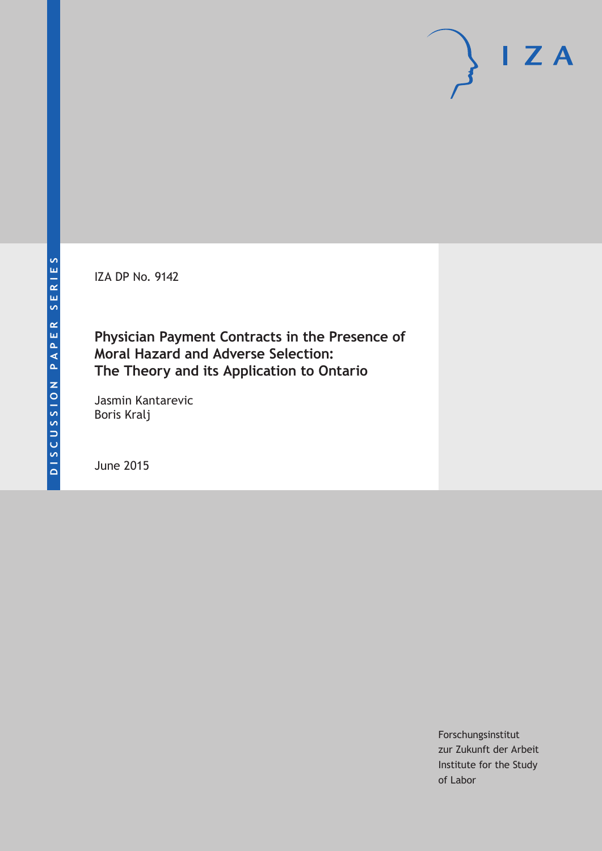IZA DP No. 9142

# **Physician Payment Contracts in the Presence of Moral Hazard and Adverse Selection: The Theory and its Application to Ontario**

Jasmin Kantarevic Boris Kralj

June 2015

Forschungsinstitut zur Zukunft der Arbeit Institute for the Study of Labor

 $I Z A$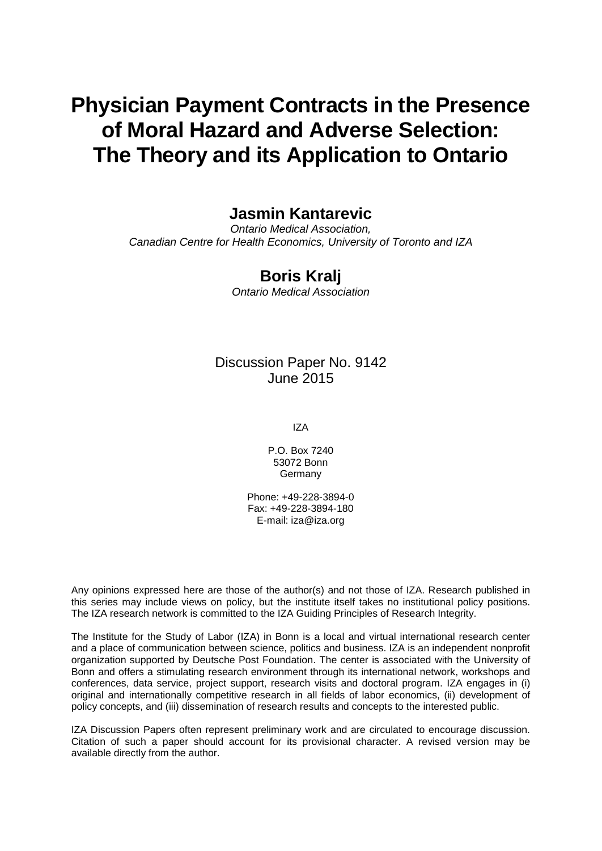# **Physician Payment Contracts in the Presence of Moral Hazard and Adverse Selection: The Theory and its Application to Ontario**

# **Jasmin Kantarevic**

*Ontario Medical Association, Canadian Centre for Health Economics, University of Toronto and IZA*

## **Boris Kralj**

*Ontario Medical Association*

### Discussion Paper No. 9142 June 2015

IZA

P.O. Box 7240 53072 Bonn Germany

Phone: +49-228-3894-0 Fax: +49-228-3894-180 E-mail: iza@iza.org

Any opinions expressed here are those of the author(s) and not those of IZA. Research published in this series may include views on policy, but the institute itself takes no institutional policy positions. The IZA research network is committed to the IZA Guiding Principles of Research Integrity.

The Institute for the Study of Labor (IZA) in Bonn is a local and virtual international research center and a place of communication between science, politics and business. IZA is an independent nonprofit organization supported by Deutsche Post Foundation. The center is associated with the University of Bonn and offers a stimulating research environment through its international network, workshops and conferences, data service, project support, research visits and doctoral program. IZA engages in (i) original and internationally competitive research in all fields of labor economics, (ii) development of policy concepts, and (iii) dissemination of research results and concepts to the interested public.

<span id="page-1-0"></span>IZA Discussion Papers often represent preliminary work and are circulated to encourage discussion. Citation of such a paper should account for its provisional character. A revised version may be available directly from the author.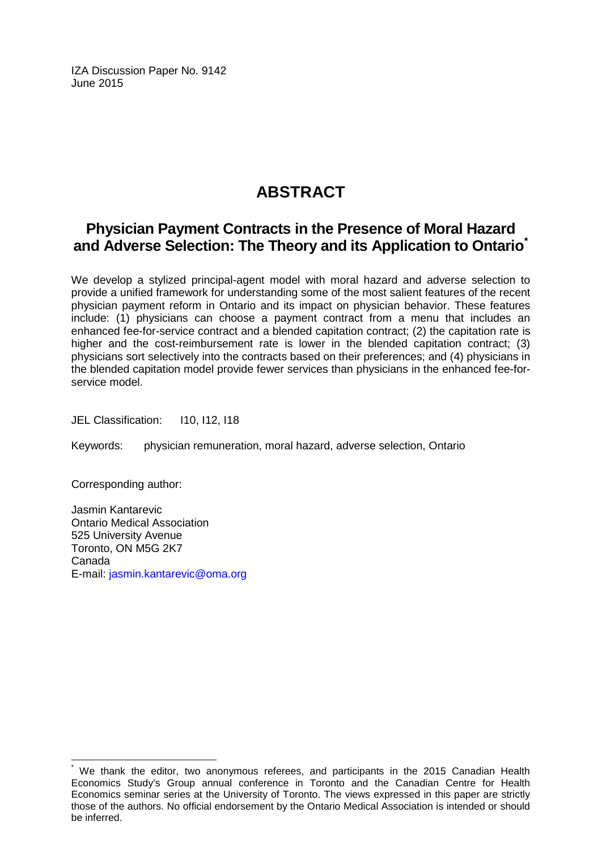IZA Discussion Paper No. 9142 June 2015

# **ABSTRACT**

# **Physician Payment Contracts in the Presence of Moral Hazard and Adverse Selection: The Theory and its Application to Ontario[\\*](#page-1-0)**

We develop a stylized principal-agent model with moral hazard and adverse selection to provide a unified framework for understanding some of the most salient features of the recent physician payment reform in Ontario and its impact on physician behavior. These features include: (1) physicians can choose a payment contract from a menu that includes an enhanced fee-for-service contract and a blended capitation contract; (2) the capitation rate is higher and the cost-reimbursement rate is lower in the blended capitation contract; (3) physicians sort selectively into the contracts based on their preferences; and (4) physicians in the blended capitation model provide fewer services than physicians in the enhanced fee-forservice model.

JEL Classification: 110, 112, 118

Keywords: physician remuneration, moral hazard, adverse selection, Ontario

Corresponding author:

Jasmin Kantarevic Ontario Medical Association 525 University Avenue Toronto, ON M5G 2K7 Canada E-mail: [jasmin.kantarevic@oma.org](mailto:jasmin.kantarevic@oma.org)

\* We thank the editor, two anonymous referees, and participants in the 2015 Canadian Health Economics Study's Group annual conference in Toronto and the Canadian Centre for Health Economics seminar series at the University of Toronto. The views expressed in this paper are strictly those of the authors. No official endorsement by the Ontario Medical Association is intended or should be inferred.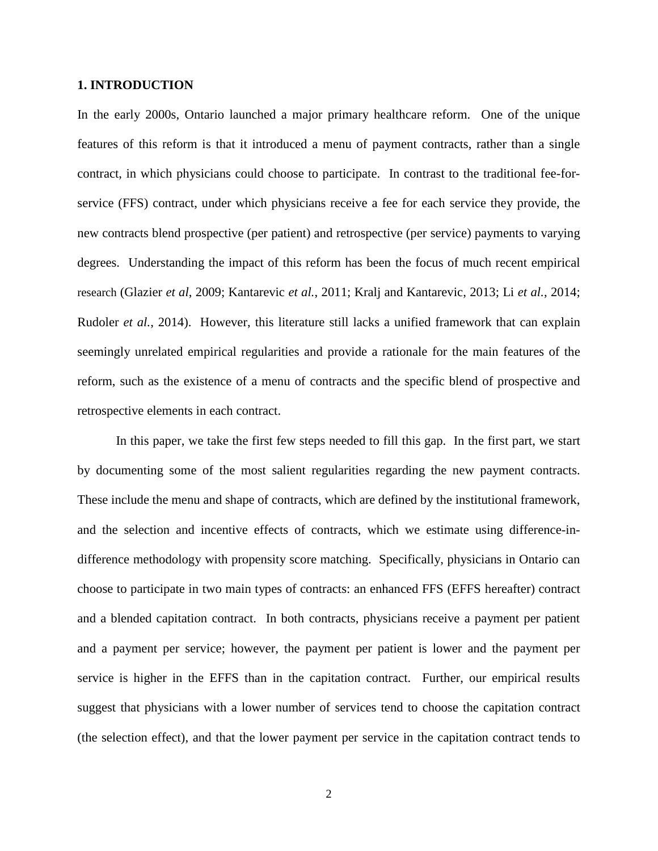#### **1. INTRODUCTION**

In the early 2000s, Ontario launched a major primary healthcare reform. One of the unique features of this reform is that it introduced a menu of payment contracts, rather than a single contract, in which physicians could choose to participate. In contrast to the traditional fee-forservice (FFS) contract, under which physicians receive a fee for each service they provide, the new contracts blend prospective (per patient) and retrospective (per service) payments to varying degrees. Understanding the impact of this reform has been the focus of much recent empirical research (Glazier *et al*, 2009; Kantarevic *et al.*, 2011; Kralj and Kantarevic, 2013; Li *et al.*, 2014; Rudoler *et al.*, 2014). However, this literature still lacks a unified framework that can explain seemingly unrelated empirical regularities and provide a rationale for the main features of the reform, such as the existence of a menu of contracts and the specific blend of prospective and retrospective elements in each contract.

In this paper, we take the first few steps needed to fill this gap. In the first part, we start by documenting some of the most salient regularities regarding the new payment contracts. These include the menu and shape of contracts, which are defined by the institutional framework, and the selection and incentive effects of contracts, which we estimate using difference-indifference methodology with propensity score matching. Specifically, physicians in Ontario can choose to participate in two main types of contracts: an enhanced FFS (EFFS hereafter) contract and a blended capitation contract. In both contracts, physicians receive a payment per patient and a payment per service; however, the payment per patient is lower and the payment per service is higher in the EFFS than in the capitation contract. Further, our empirical results suggest that physicians with a lower number of services tend to choose the capitation contract (the selection effect), and that the lower payment per service in the capitation contract tends to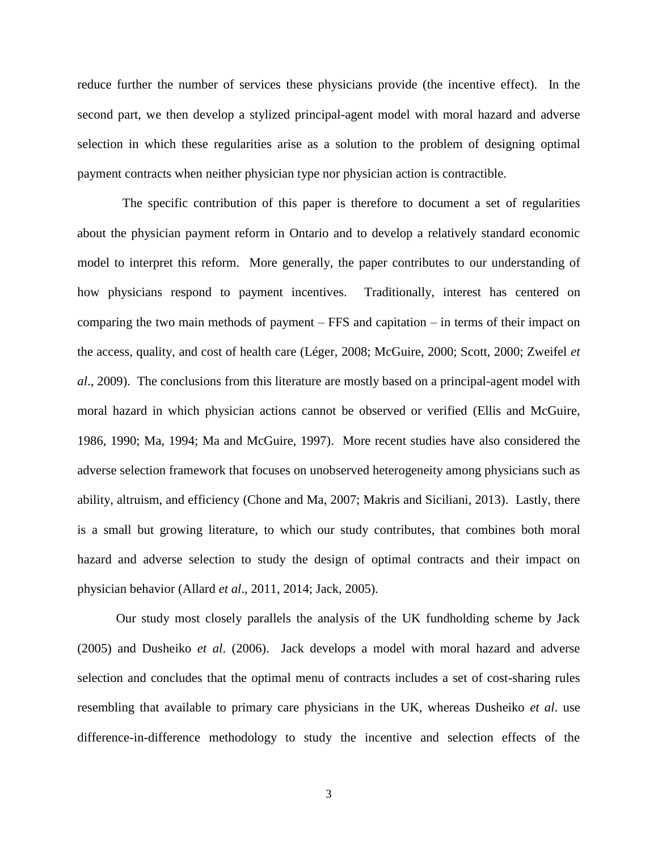reduce further the number of services these physicians provide (the incentive effect). In the second part, we then develop a stylized principal-agent model with moral hazard and adverse selection in which these regularities arise as a solution to the problem of designing optimal payment contracts when neither physician type nor physician action is contractible.

 The specific contribution of this paper is therefore to document a set of regularities about the physician payment reform in Ontario and to develop a relatively standard economic model to interpret this reform. More generally, the paper contributes to our understanding of how physicians respond to payment incentives. Traditionally, interest has centered on comparing the two main methods of payment – FFS and capitation – in terms of their impact on the access, quality, and cost of health care (Léger, 2008; McGuire, 2000; Scott, 2000; Zweifel *et al*., 2009). The conclusions from this literature are mostly based on a principal-agent model with moral hazard in which physician actions cannot be observed or verified (Ellis and McGuire, 1986, 1990; Ma, 1994; Ma and McGuire, 1997). More recent studies have also considered the adverse selection framework that focuses on unobserved heterogeneity among physicians such as ability, altruism, and efficiency (Chone and Ma, 2007; Makris and Siciliani, 2013). Lastly, there is a small but growing literature, to which our study contributes, that combines both moral hazard and adverse selection to study the design of optimal contracts and their impact on physician behavior (Allard *et al*., 2011, 2014; Jack, 2005).

Our study most closely parallels the analysis of the UK fundholding scheme by Jack (2005) and Dusheiko *et al*. (2006). Jack develops a model with moral hazard and adverse selection and concludes that the optimal menu of contracts includes a set of cost-sharing rules resembling that available to primary care physicians in the UK, whereas Dusheiko *et al*. use difference-in-difference methodology to study the incentive and selection effects of the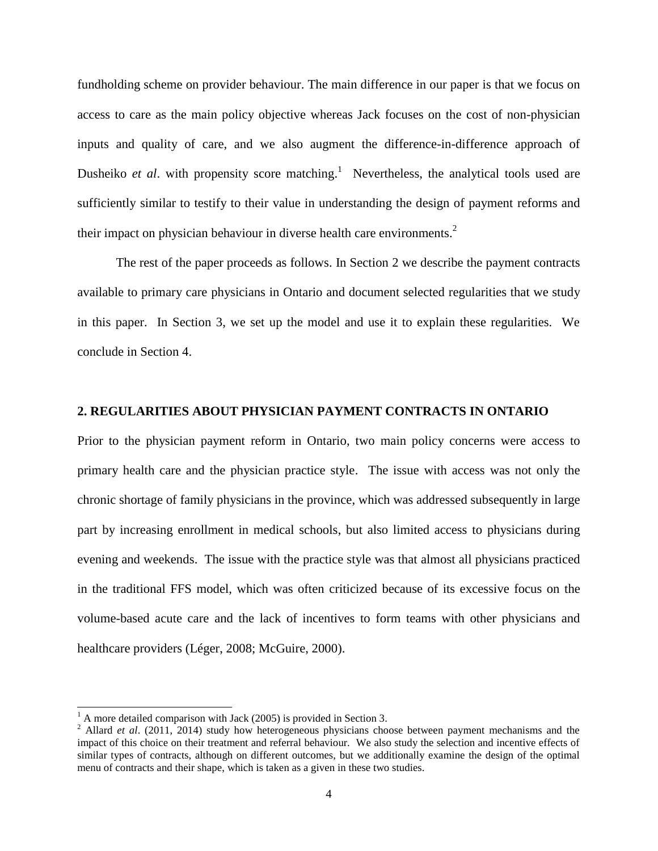fundholding scheme on provider behaviour. The main difference in our paper is that we focus on access to care as the main policy objective whereas Jack focuses on the cost of non-physician inputs and quality of care, and we also augment the difference-in-difference approach of Dusheiko *et al*. with propensity score matching.<sup>1</sup> Nevertheless, the analytical tools used are sufficiently similar to testify to their value in understanding the design of payment reforms and their impact on physician behaviour in diverse health care environments.<sup>2</sup>

The rest of the paper proceeds as follows. In Section 2 we describe the payment contracts available to primary care physicians in Ontario and document selected regularities that we study in this paper. In Section 3, we set up the model and use it to explain these regularities. We conclude in Section 4.

#### **2. REGULARITIES ABOUT PHYSICIAN PAYMENT CONTRACTS IN ONTARIO**

Prior to the physician payment reform in Ontario, two main policy concerns were access to primary health care and the physician practice style. The issue with access was not only the chronic shortage of family physicians in the province, which was addressed subsequently in large part by increasing enrollment in medical schools, but also limited access to physicians during evening and weekends. The issue with the practice style was that almost all physicians practiced in the traditional FFS model, which was often criticized because of its excessive focus on the volume-based acute care and the lack of incentives to form teams with other physicians and healthcare providers (Léger, 2008; McGuire, 2000).

l

 $<sup>1</sup>$  A more detailed comparison with Jack (2005) is provided in Section 3.</sup>

<sup>&</sup>lt;sup>2</sup> Allard *et al.* (2011, 2014) study how heterogeneous physicians choose between payment mechanisms and the impact of this choice on their treatment and referral behaviour. We also study the selection and incentive effects of similar types of contracts, although on different outcomes, but we additionally examine the design of the optimal menu of contracts and their shape, which is taken as a given in these two studies.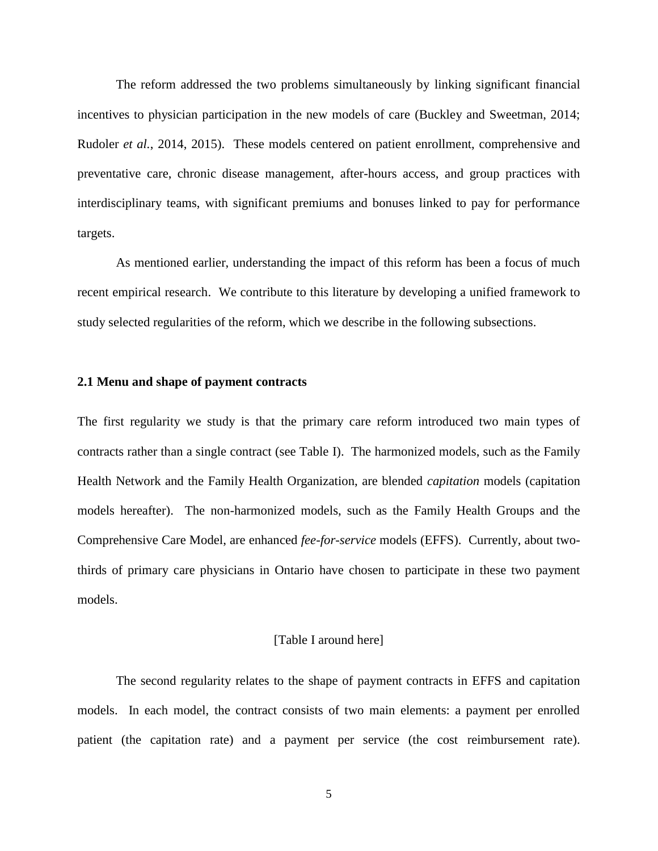The reform addressed the two problems simultaneously by linking significant financial incentives to physician participation in the new models of care (Buckley and Sweetman, 2014; Rudoler *et al.*, 2014, 2015). These models centered on patient enrollment, comprehensive and preventative care, chronic disease management, after-hours access, and group practices with interdisciplinary teams, with significant premiums and bonuses linked to pay for performance targets.

As mentioned earlier, understanding the impact of this reform has been a focus of much recent empirical research. We contribute to this literature by developing a unified framework to study selected regularities of the reform, which we describe in the following subsections.

#### **2.1 Menu and shape of payment contracts**

The first regularity we study is that the primary care reform introduced two main types of contracts rather than a single contract (see Table I). The harmonized models, such as the Family Health Network and the Family Health Organization, are blended *capitation* models (capitation models hereafter). The non-harmonized models, such as the Family Health Groups and the Comprehensive Care Model, are enhanced *fee-for-service* models (EFFS). Currently, about twothirds of primary care physicians in Ontario have chosen to participate in these two payment models.

#### [Table I around here]

The second regularity relates to the shape of payment contracts in EFFS and capitation models. In each model, the contract consists of two main elements: a payment per enrolled patient (the capitation rate) and a payment per service (the cost reimbursement rate).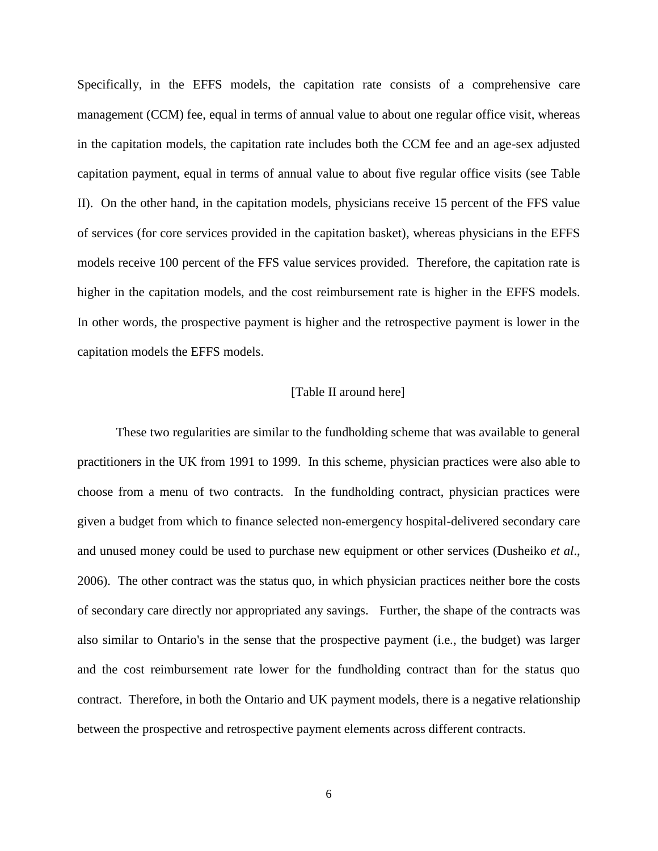Specifically, in the EFFS models, the capitation rate consists of a comprehensive care management (CCM) fee, equal in terms of annual value to about one regular office visit, whereas in the capitation models, the capitation rate includes both the CCM fee and an age-sex adjusted capitation payment, equal in terms of annual value to about five regular office visits (see Table II). On the other hand, in the capitation models, physicians receive 15 percent of the FFS value of services (for core services provided in the capitation basket), whereas physicians in the EFFS models receive 100 percent of the FFS value services provided. Therefore, the capitation rate is higher in the capitation models, and the cost reimbursement rate is higher in the EFFS models. In other words, the prospective payment is higher and the retrospective payment is lower in the capitation models the EFFS models.

#### [Table II around here]

These two regularities are similar to the fundholding scheme that was available to general practitioners in the UK from 1991 to 1999. In this scheme, physician practices were also able to choose from a menu of two contracts. In the fundholding contract, physician practices were given a budget from which to finance selected non-emergency hospital-delivered secondary care and unused money could be used to purchase new equipment or other services (Dusheiko *et al*., 2006). The other contract was the status quo, in which physician practices neither bore the costs of secondary care directly nor appropriated any savings. Further, the shape of the contracts was also similar to Ontario's in the sense that the prospective payment (i.e., the budget) was larger and the cost reimbursement rate lower for the fundholding contract than for the status quo contract. Therefore, in both the Ontario and UK payment models, there is a negative relationship between the prospective and retrospective payment elements across different contracts.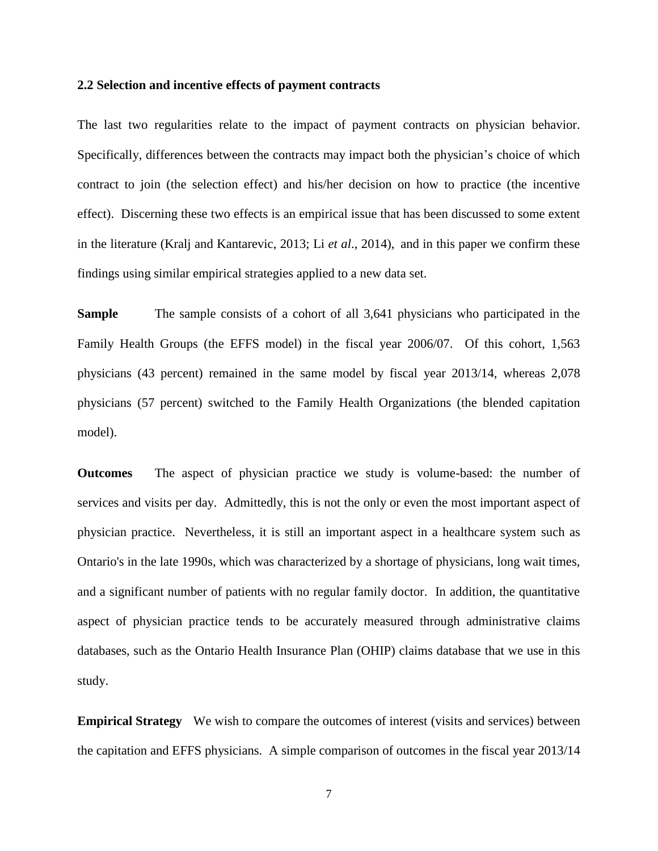#### **2.2 Selection and incentive effects of payment contracts**

The last two regularities relate to the impact of payment contracts on physician behavior. Specifically, differences between the contracts may impact both the physician's choice of which contract to join (the selection effect) and his/her decision on how to practice (the incentive effect). Discerning these two effects is an empirical issue that has been discussed to some extent in the literature (Kralj and Kantarevic, 2013; Li *et al*., 2014), and in this paper we confirm these findings using similar empirical strategies applied to a new data set.

**Sample** The sample consists of a cohort of all 3,641 physicians who participated in the Family Health Groups (the EFFS model) in the fiscal year 2006/07. Of this cohort, 1,563 physicians (43 percent) remained in the same model by fiscal year 2013/14, whereas 2,078 physicians (57 percent) switched to the Family Health Organizations (the blended capitation model).

**Outcomes** The aspect of physician practice we study is volume-based: the number of services and visits per day. Admittedly, this is not the only or even the most important aspect of physician practice. Nevertheless, it is still an important aspect in a healthcare system such as Ontario's in the late 1990s, which was characterized by a shortage of physicians, long wait times, and a significant number of patients with no regular family doctor. In addition, the quantitative aspect of physician practice tends to be accurately measured through administrative claims databases, such as the Ontario Health Insurance Plan (OHIP) claims database that we use in this study.

**Empirical Strategy** We wish to compare the outcomes of interest (visits and services) between the capitation and EFFS physicians. A simple comparison of outcomes in the fiscal year 2013/14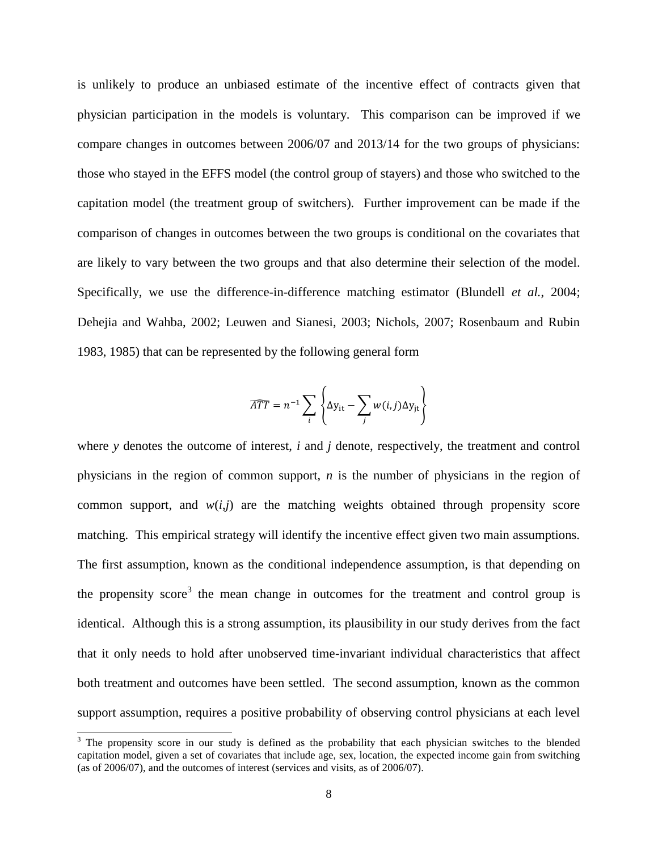is unlikely to produce an unbiased estimate of the incentive effect of contracts given that physician participation in the models is voluntary. This comparison can be improved if we compare changes in outcomes between 2006/07 and 2013/14 for the two groups of physicians: those who stayed in the EFFS model (the control group of stayers) and those who switched to the capitation model (the treatment group of switchers). Further improvement can be made if the comparison of changes in outcomes between the two groups is conditional on the covariates that are likely to vary between the two groups and that also determine their selection of the model. Specifically, we use the difference-in-difference matching estimator (Blundell *et al.*, 2004; Dehejia and Wahba, 2002; Leuwen and Sianesi, 2003; Nichols, 2007; Rosenbaum and Rubin 1983, 1985) that can be represented by the following general form

$$
\widehat{ATT} = n^{-1} \sum_{i} \left\{ \Delta y_{it} - \sum_{j} w(i, j) \Delta y_{jt} \right\}
$$

where *y* denotes the outcome of interest, *i* and *j* denote, respectively, the treatment and control physicians in the region of common support, *n* is the number of physicians in the region of common support, and  $w(i,j)$  are the matching weights obtained through propensity score matching. This empirical strategy will identify the incentive effect given two main assumptions. The first assumption, known as the conditional independence assumption, is that depending on the propensity score<sup>3</sup> the mean change in outcomes for the treatment and control group is identical. Although this is a strong assumption, its plausibility in our study derives from the fact that it only needs to hold after unobserved time-invariant individual characteristics that affect both treatment and outcomes have been settled. The second assumption, known as the common support assumption, requires a positive probability of observing control physicians at each level

l

<sup>&</sup>lt;sup>3</sup> The propensity score in our study is defined as the probability that each physician switches to the blended capitation model, given a set of covariates that include age, sex, location, the expected income gain from switching (as of 2006/07), and the outcomes of interest (services and visits, as of 2006/07).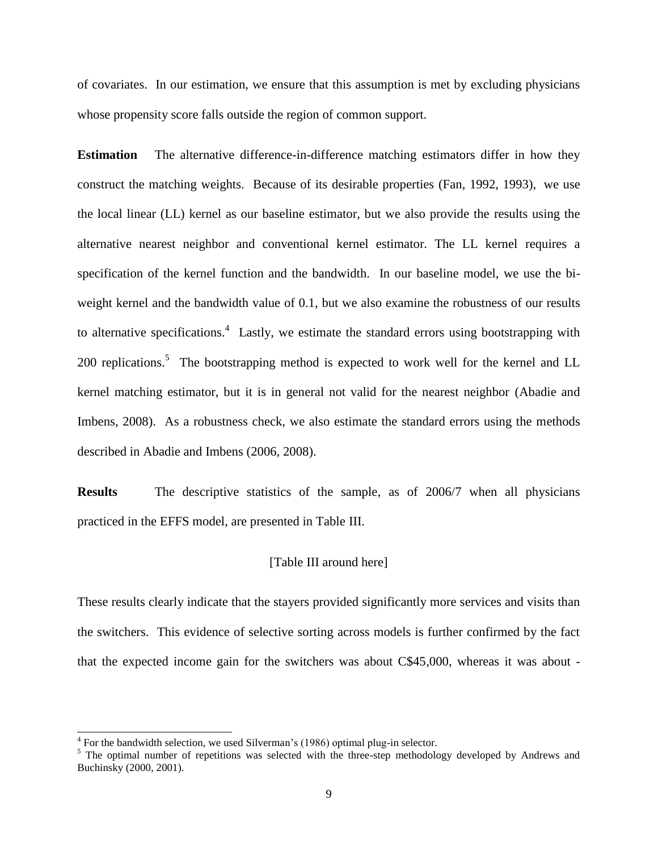of covariates. In our estimation, we ensure that this assumption is met by excluding physicians whose propensity score falls outside the region of common support.

**Estimation** The alternative difference-in-difference matching estimators differ in how they construct the matching weights. Because of its desirable properties (Fan, 1992, 1993), we use the local linear (LL) kernel as our baseline estimator, but we also provide the results using the alternative nearest neighbor and conventional kernel estimator. The LL kernel requires a specification of the kernel function and the bandwidth. In our baseline model, we use the biweight kernel and the bandwidth value of 0.1, but we also examine the robustness of our results to alternative specifications.<sup>4</sup> Lastly, we estimate the standard errors using bootstrapping with 200 replications.<sup>5</sup> The bootstrapping method is expected to work well for the kernel and LL kernel matching estimator, but it is in general not valid for the nearest neighbor (Abadie and Imbens, 2008). As a robustness check, we also estimate the standard errors using the methods described in Abadie and Imbens (2006, 2008).

**Results** The descriptive statistics of the sample, as of 2006/7 when all physicians practiced in the EFFS model, are presented in Table III.

#### [Table III around here]

These results clearly indicate that the stayers provided significantly more services and visits than the switchers. This evidence of selective sorting across models is further confirmed by the fact that the expected income gain for the switchers was about C\$45,000, whereas it was about -

 4 For the bandwidth selection, we used Silverman's (1986) optimal plug-in selector.

<sup>&</sup>lt;sup>5</sup> The optimal number of repetitions was selected with the three-step methodology developed by Andrews and Buchinsky (2000, 2001).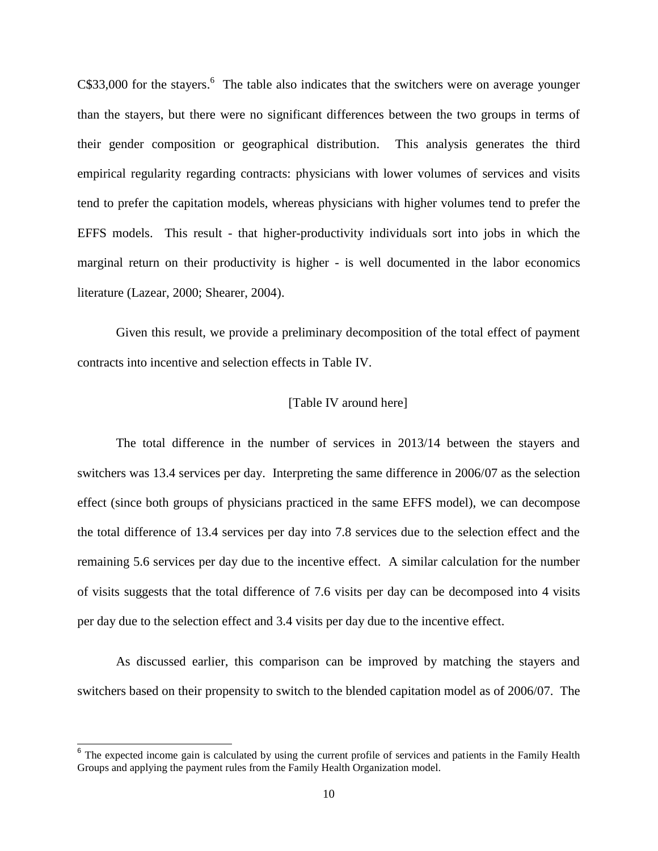C\$33,000 for the stayers.<sup>6</sup> The table also indicates that the switchers were on average younger than the stayers, but there were no significant differences between the two groups in terms of their gender composition or geographical distribution. This analysis generates the third empirical regularity regarding contracts: physicians with lower volumes of services and visits tend to prefer the capitation models, whereas physicians with higher volumes tend to prefer the EFFS models. This result - that higher-productivity individuals sort into jobs in which the marginal return on their productivity is higher - is well documented in the labor economics literature (Lazear, 2000; Shearer, 2004).

Given this result, we provide a preliminary decomposition of the total effect of payment contracts into incentive and selection effects in Table IV.

#### [Table IV around here]

The total difference in the number of services in 2013/14 between the stayers and switchers was 13.4 services per day. Interpreting the same difference in 2006/07 as the selection effect (since both groups of physicians practiced in the same EFFS model), we can decompose the total difference of 13.4 services per day into 7.8 services due to the selection effect and the remaining 5.6 services per day due to the incentive effect. A similar calculation for the number of visits suggests that the total difference of 7.6 visits per day can be decomposed into 4 visits per day due to the selection effect and 3.4 visits per day due to the incentive effect.

As discussed earlier, this comparison can be improved by matching the stayers and switchers based on their propensity to switch to the blended capitation model as of 2006/07. The

<sup>&</sup>lt;sup>6</sup> The expected income gain is calculated by using the current profile of services and patients in the Family Health Groups and applying the payment rules from the Family Health Organization model.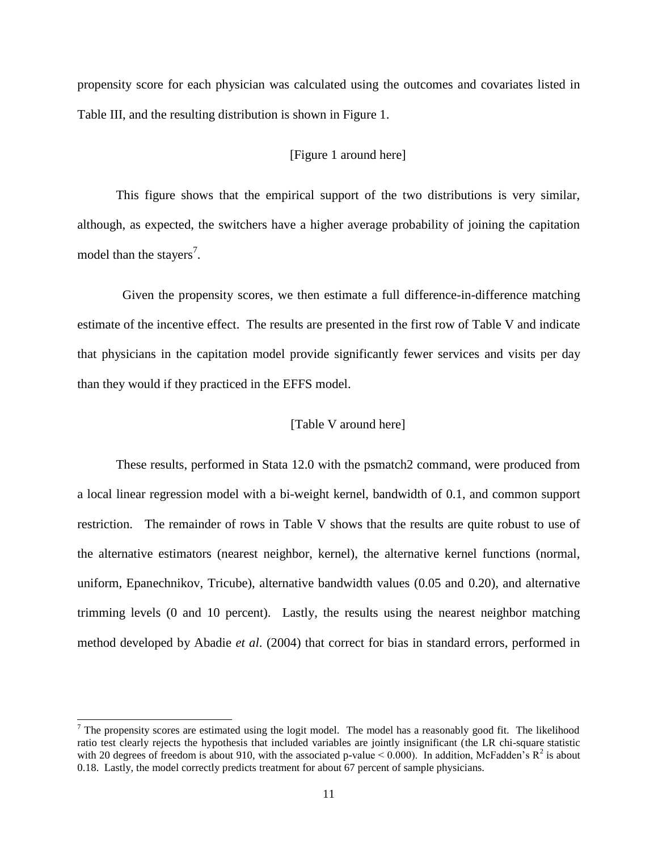propensity score for each physician was calculated using the outcomes and covariates listed in Table III, and the resulting distribution is shown in Figure 1.

#### [Figure 1 around here]

This figure shows that the empirical support of the two distributions is very similar, although, as expected, the switchers have a higher average probability of joining the capitation model than the stayers<sup>7</sup>.

 Given the propensity scores, we then estimate a full difference-in-difference matching estimate of the incentive effect. The results are presented in the first row of Table V and indicate that physicians in the capitation model provide significantly fewer services and visits per day than they would if they practiced in the EFFS model.

#### [Table V around here]

These results, performed in Stata 12.0 with the psmatch2 command, were produced from a local linear regression model with a bi-weight kernel, bandwidth of 0.1, and common support restriction. The remainder of rows in Table V shows that the results are quite robust to use of the alternative estimators (nearest neighbor, kernel), the alternative kernel functions (normal, uniform, Epanechnikov, Tricube), alternative bandwidth values (0.05 and 0.20), and alternative trimming levels (0 and 10 percent). Lastly, the results using the nearest neighbor matching method developed by Abadie *et al*. (2004) that correct for bias in standard errors, performed in

l

 $<sup>7</sup>$  The propensity scores are estimated using the logit model. The model has a reasonably good fit. The likelihood</sup> ratio test clearly rejects the hypothesis that included variables are jointly insignificant (the LR chi-square statistic with 20 degrees of freedom is about 910, with the associated p-value  $< 0.000$ ). In addition, McFadden's  $R^2$  is about 0.18. Lastly, the model correctly predicts treatment for about 67 percent of sample physicians.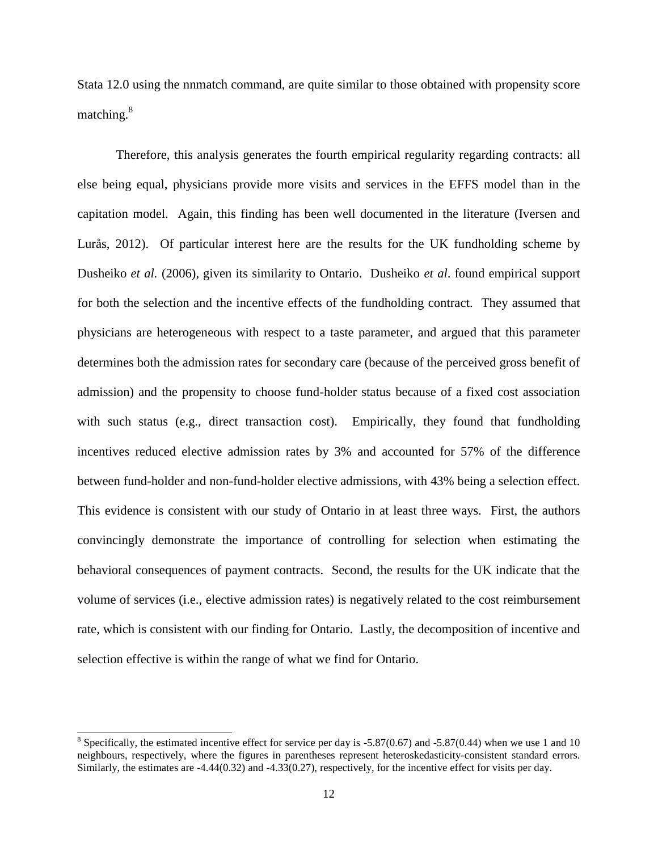Stata 12.0 using the nnmatch command, are quite similar to those obtained with propensity score matching.<sup>8</sup>

Therefore, this analysis generates the fourth empirical regularity regarding contracts: all else being equal, physicians provide more visits and services in the EFFS model than in the capitation model. Again, this finding has been well documented in the literature (Iversen and Lurås, 2012). Of particular interest here are the results for the UK fundholding scheme by Dusheiko *et al.* (2006), given its similarity to Ontario. Dusheiko *et al*. found empirical support for both the selection and the incentive effects of the fundholding contract. They assumed that physicians are heterogeneous with respect to a taste parameter, and argued that this parameter determines both the admission rates for secondary care (because of the perceived gross benefit of admission) and the propensity to choose fund-holder status because of a fixed cost association with such status (e.g., direct transaction cost). Empirically, they found that fundholding incentives reduced elective admission rates by 3% and accounted for 57% of the difference between fund-holder and non-fund-holder elective admissions, with 43% being a selection effect. This evidence is consistent with our study of Ontario in at least three ways. First, the authors convincingly demonstrate the importance of controlling for selection when estimating the behavioral consequences of payment contracts. Second, the results for the UK indicate that the volume of services (i.e., elective admission rates) is negatively related to the cost reimbursement rate, which is consistent with our finding for Ontario. Lastly, the decomposition of incentive and selection effective is within the range of what we find for Ontario.

l

 $8$  Specifically, the estimated incentive effect for service per day is -5.87(0.67) and -5.87(0.44) when we use 1 and 10 neighbours, respectively, where the figures in parentheses represent heteroskedasticity-consistent standard errors. Similarly, the estimates are -4.44(0.32) and -4.33(0.27), respectively, for the incentive effect for visits per day.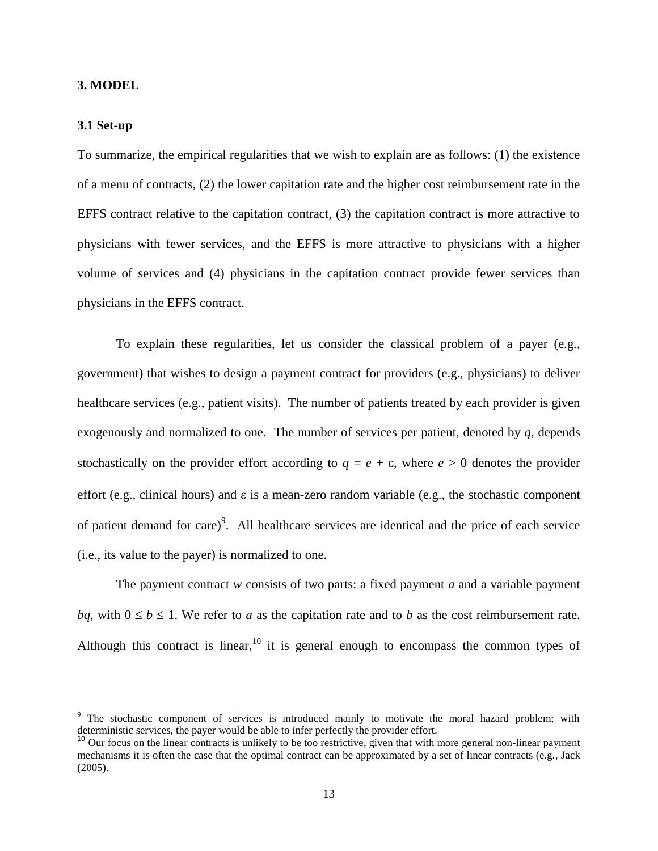#### **3. MODEL**

#### **3.1 Set-up**

l

To summarize, the empirical regularities that we wish to explain are as follows: (1) the existence of a menu of contracts, (2) the lower capitation rate and the higher cost reimbursement rate in the EFFS contract relative to the capitation contract, (3) the capitation contract is more attractive to physicians with fewer services, and the EFFS is more attractive to physicians with a higher volume of services and (4) physicians in the capitation contract provide fewer services than physicians in the EFFS contract.

To explain these regularities, let us consider the classical problem of a payer (e.g., government) that wishes to design a payment contract for providers (e.g., physicians) to deliver healthcare services (e.g., patient visits). The number of patients treated by each provider is given exogenously and normalized to one. The number of services per patient, denoted by *q*, depends stochastically on the provider effort according to  $q = e + \varepsilon$ , where  $e > 0$  denotes the provider effort (e.g., clinical hours) and  $\varepsilon$  is a mean-zero random variable (e.g., the stochastic component of patient demand for care)<sup>9</sup>. All healthcare services are identical and the price of each service (i.e., its value to the payer) is normalized to one.

The payment contract *w* consists of two parts: a fixed payment *a* and a variable payment *bq*, with  $0 \le b \le 1$ . We refer to *a* as the capitation rate and to *b* as the cost reimbursement rate. Although this contract is linear,  $10$  it is general enough to encompass the common types of

<sup>&</sup>lt;sup>9</sup> The stochastic component of services is introduced mainly to motivate the moral hazard problem; with deterministic services, the payer would be able to infer perfectly the provider effort.

<sup>&</sup>lt;sup>10</sup> Our focus on the linear contracts is unlikely to be too restrictive, given that with more general non-linear payment mechanisms it is often the case that the optimal contract can be approximated by a set of linear contracts (e.g., Jack (2005).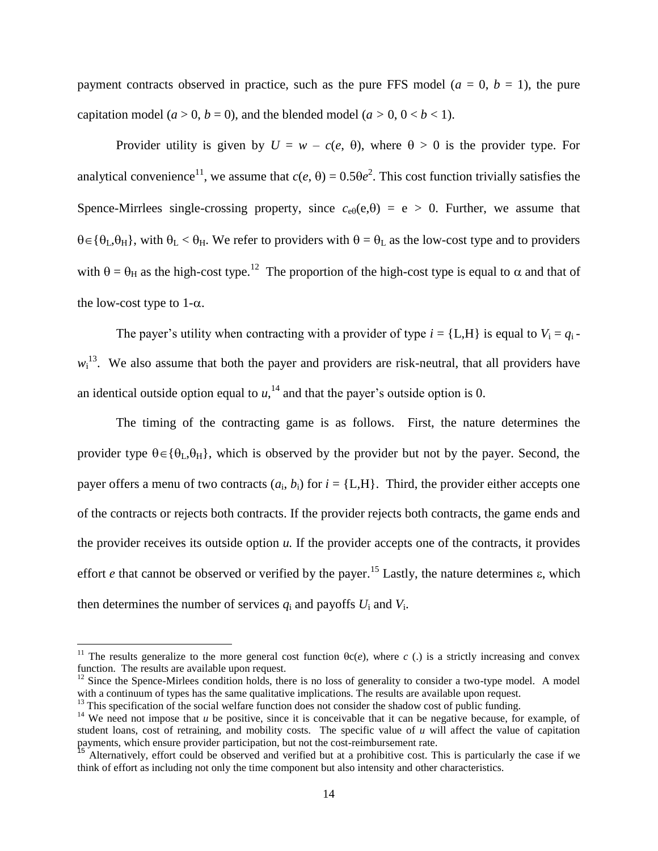payment contracts observed in practice, such as the pure FFS model ( $a = 0$ ,  $b = 1$ ), the pure capitation model ( $a > 0$ ,  $b = 0$ ), and the blended model ( $a > 0$ ,  $0 < b < 1$ ).

Provider utility is given by  $U = w - c(e, \theta)$ , where  $\theta > 0$  is the provider type. For analytical convenience<sup>11</sup>, we assume that  $c(e, \theta) = 0.5\theta e^2$ . This cost function trivially satisfies the Spence-Mirrlees single-crossing property, since  $c_{e\theta}(e,\theta) = e > 0$ . Further, we assume that  $\theta \in {\theta_L, \theta_H}$ , with  $\theta_L < \theta_H$ . We refer to providers with  $\theta = \theta_L$  as the low-cost type and to providers with  $\theta = \theta_H$  as the high-cost type.<sup>12</sup> The proportion of the high-cost type is equal to  $\alpha$  and that of the low-cost type to  $1-\alpha$ .

The payer's utility when contracting with a provider of type  $i = \{L, H\}$  is equal to  $V_i = q_i$ .  $w<sub>i</sub><sup>13</sup>$ . We also assume that both the payer and providers are risk-neutral, that all providers have an identical outside option equal to  $u<sub>1</sub><sup>14</sup>$  and that the payer's outside option is 0.

The timing of the contracting game is as follows. First, the nature determines the provider type  $\theta \in {\theta_L, \theta_H}$ , which is observed by the provider but not by the payer. Second, the payer offers a menu of two contracts  $(a_i, b_i)$  for  $i = \{L, H\}$ . Third, the provider either accepts one of the contracts or rejects both contracts. If the provider rejects both contracts, the game ends and the provider receives its outside option *u.* If the provider accepts one of the contracts, it provides effort *e* that cannot be observed or verified by the payer.<sup>15</sup> Lastly, the nature determines  $\varepsilon$ , which then determines the number of services  $q_i$  and payoffs  $U_i$  and  $V_i$ .

l

<sup>&</sup>lt;sup>11</sup> The results generalize to the more general cost function  $\theta c(e)$ , where *c* (.) is a strictly increasing and convex function. The results are available upon request.

 $12$  Since the Spence-Mirlees condition holds, there is no loss of generality to consider a two-type model. A model with a continuum of types has the same qualitative implications. The results are available upon request.

 $<sup>13</sup>$  This specification of the social welfare function does not consider the shadow cost of public funding.</sup>

<sup>&</sup>lt;sup>14</sup> We need not impose that  $u$  be positive, since it is conceivable that it can be negative because, for example, of student loans, cost of retraining, and mobility costs. The specific value of *u* will affect the value of capitation payments, which ensure provider participation, but not the cost-reimbursement rate.

<sup>&</sup>lt;sup>15</sup> Alternatively, effort could be observed and verified but at a prohibitive cost. This is particularly the case if we think of effort as including not only the time component but also intensity and other characteristics.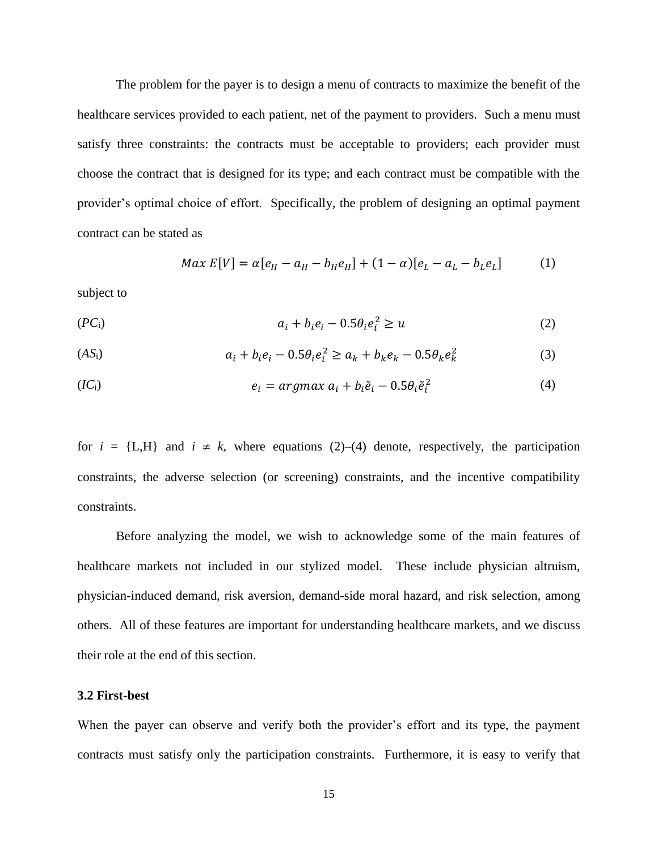The problem for the payer is to design a menu of contracts to maximize the benefit of the healthcare services provided to each patient, net of the payment to providers. Such a menu must satisfy three constraints: the contracts must be acceptable to providers; each provider must choose the contract that is designed for its type; and each contract must be compatible with the provider's optimal choice of effort. Specifically, the problem of designing an optimal payment contract can be stated as

$$
Max E[V] = \alpha[e_H - a_H - b_H e_H] + (1 - \alpha)[e_L - a_L - b_L e_L]
$$
 (1)

subject to

$$
(PC_i) \t a_i + b_i e_i - 0.5 \theta_i e_i^2 \ge u \t (2)
$$

$$
(AS_i) \t a_i + b_i e_i - 0.5 \theta_i e_i^2 \ge a_k + b_k e_k - 0.5 \theta_k e_k^2 \t (3)
$$

$$
(IC_i) \t e_i = argmax a_i + b_i \tilde{e}_i - 0.5 \theta_i \tilde{e}_i^2 \t (4)
$$

for  $i = \{L, H\}$  and  $i \neq k$ , where equations (2)–(4) denote, respectively, the participation constraints, the adverse selection (or screening) constraints, and the incentive compatibility constraints.

Before analyzing the model, we wish to acknowledge some of the main features of healthcare markets not included in our stylized model. These include physician altruism, physician-induced demand, risk aversion, demand-side moral hazard, and risk selection, among others. All of these features are important for understanding healthcare markets, and we discuss their role at the end of this section.

#### **3.2 First-best**

When the payer can observe and verify both the provider's effort and its type, the payment contracts must satisfy only the participation constraints. Furthermore, it is easy to verify that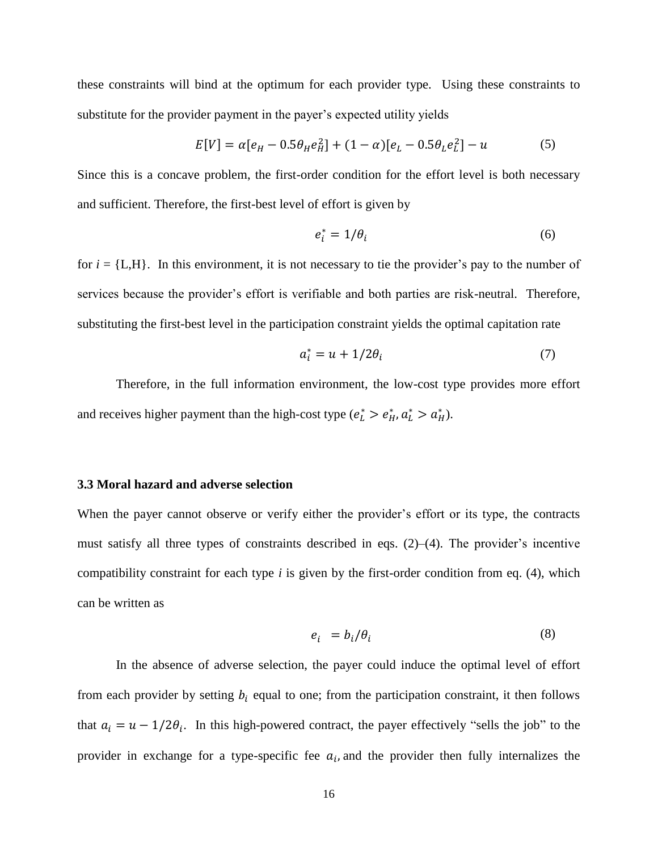these constraints will bind at the optimum for each provider type. Using these constraints to substitute for the provider payment in the payer's expected utility yields

$$
E[V] = \alpha[e_H - 0.5\theta_H e_H^2] + (1 - \alpha)[e_L - 0.5\theta_L e_L^2] - u \tag{5}
$$

Since this is a concave problem, the first-order condition for the effort level is both necessary and sufficient. Therefore, the first-best level of effort is given by

$$
e_i^* = 1/\theta_i \tag{6}
$$

for  $i = \{L, H\}$ . In this environment, it is not necessary to tie the provider's pay to the number of services because the provider's effort is verifiable and both parties are risk-neutral. Therefore, substituting the first-best level in the participation constraint yields the optimal capitation rate

$$
a_i^* = u + 1/2\theta_i \tag{7}
$$

Therefore, in the full information environment, the low-cost type provides more effort and receives higher payment than the high-cost type  $(e_L^* > e_H^*, a_L^* > a_H^*)$ .

#### **3.3 Moral hazard and adverse selection**

When the payer cannot observe or verify either the provider's effort or its type, the contracts must satisfy all three types of constraints described in eqs. (2)–(4). The provider's incentive compatibility constraint for each type *i* is given by the first-order condition from eq. (4), which can be written as

$$
e_i = b_i/\theta_i \tag{8}
$$

In the absence of adverse selection, the payer could induce the optimal level of effort from each provider by setting  $b_i$  equal to one; from the participation constraint, it then follows that  $a_i = u - 1/2\theta_i$ . In this high-powered contract, the payer effectively "sells the job" to the provider in exchange for a type-specific fee  $a_i$ , and the provider then fully internalizes the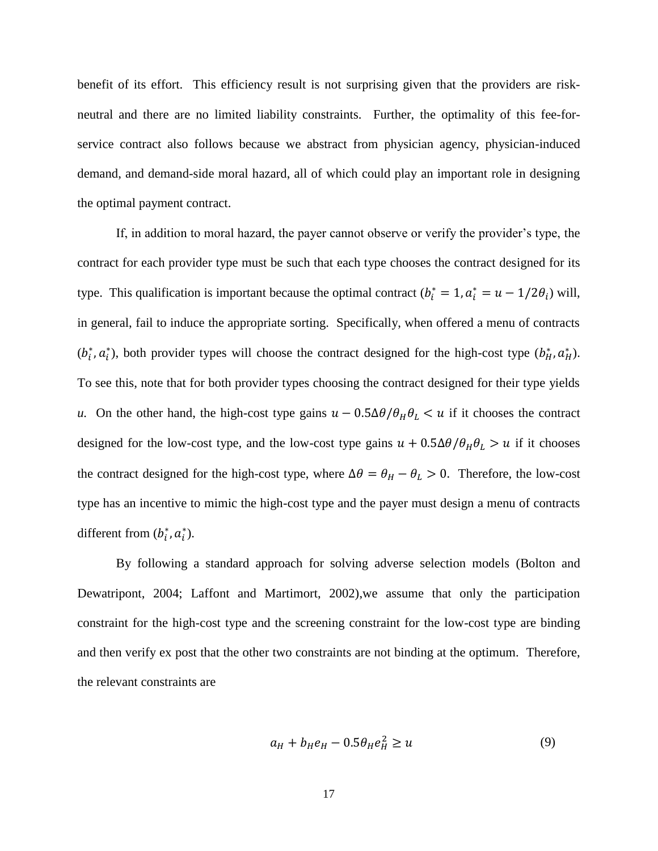benefit of its effort. This efficiency result is not surprising given that the providers are riskneutral and there are no limited liability constraints. Further, the optimality of this fee-forservice contract also follows because we abstract from physician agency, physician-induced demand, and demand-side moral hazard, all of which could play an important role in designing the optimal payment contract.

If, in addition to moral hazard, the payer cannot observe or verify the provider's type, the contract for each provider type must be such that each type chooses the contract designed for its type. This qualification is important because the optimal contract  $(b_i^* = 1, a_i^* = u - 1/2\theta_i)$  will, in general, fail to induce the appropriate sorting. Specifically, when offered a menu of contracts  $(b_i^*, a_i^*)$ , both provider types will choose the contract designed for the high-cost type  $(b_H^*, a_H^*)$ . To see this, note that for both provider types choosing the contract designed for their type yields *u.* On the other hand, the high-cost type gains  $u - 0.5\Delta\theta/\theta_H\theta_L < u$  if it chooses the contract designed for the low-cost type, and the low-cost type gains  $u + 0.5\Delta\theta/\theta_H\theta_L > u$  if it chooses the contract designed for the high-cost type, where  $\Delta\theta = \theta_H - \theta_L > 0$ . Therefore, the low-cost type has an incentive to mimic the high-cost type and the payer must design a menu of contracts different from  $(b_i^*, a_i^*)$ .

By following a standard approach for solving adverse selection models (Bolton and Dewatripont, 2004; Laffont and Martimort, 2002),we assume that only the participation constraint for the high-cost type and the screening constraint for the low-cost type are binding and then verify ex post that the other two constraints are not binding at the optimum. Therefore, the relevant constraints are

$$
a_H + b_H e_H - 0.5 \theta_H e_H^2 \ge u \tag{9}
$$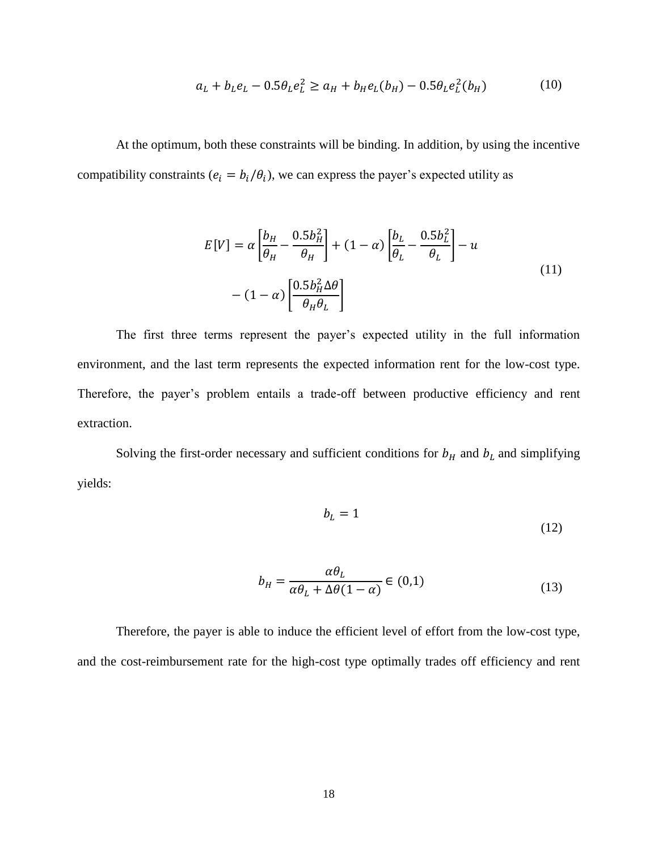$$
a_L + b_L e_L - 0.5 \theta_L e_L^2 \ge a_H + b_H e_L(b_H) - 0.5 \theta_L e_L^2(b_H)
$$
 (10)

At the optimum, both these constraints will be binding. In addition, by using the incentive compatibility constraints ( $e_i = b_i/\theta_i$ ), we can express the payer's expected utility as

$$
E[V] = \alpha \left[ \frac{b_H}{\theta_H} - \frac{0.5b_H^2}{\theta_H} \right] + (1 - \alpha) \left[ \frac{b_L}{\theta_L} - \frac{0.5b_L^2}{\theta_L} \right] - u
$$
  

$$
- (1 - \alpha) \left[ \frac{0.5b_H^2 \Delta \theta}{\theta_H \theta_L} \right]
$$
 (11)

The first three terms represent the payer's expected utility in the full information environment, and the last term represents the expected information rent for the low-cost type. Therefore, the payer's problem entails a trade-off between productive efficiency and rent extraction.

Solving the first-order necessary and sufficient conditions for  $b_H$  and  $b_L$  and simplifying yields:

$$
b_L = 1 \tag{12}
$$

$$
b_H = \frac{\alpha \theta_L}{\alpha \theta_L + \Delta \theta (1 - \alpha)} \in (0, 1)
$$
\n(13)

Therefore, the payer is able to induce the efficient level of effort from the low-cost type, and the cost-reimbursement rate for the high-cost type optimally trades off efficiency and rent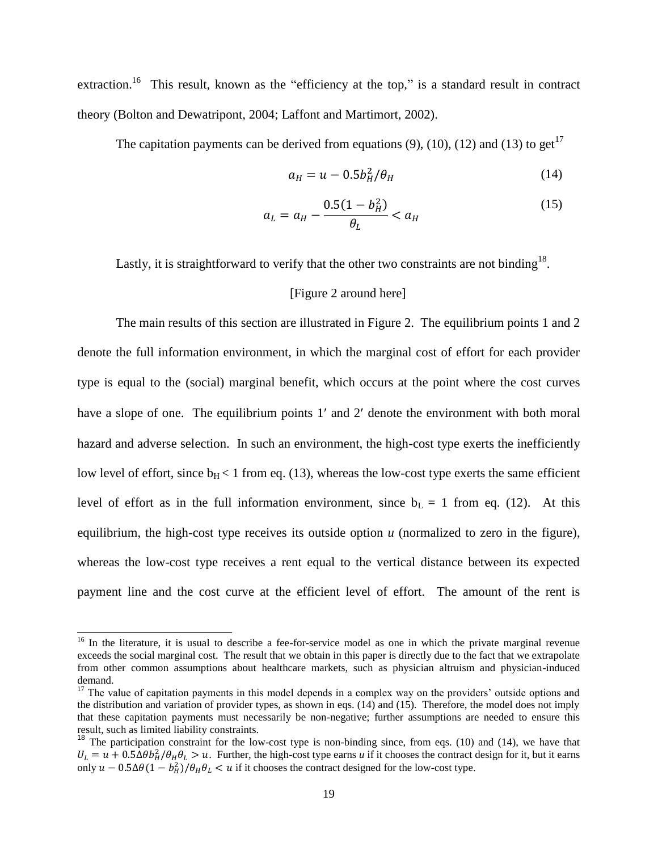extraction.<sup>16</sup> This result, known as the "efficiency at the top," is a standard result in contract theory (Bolton and Dewatripont, 2004; Laffont and Martimort, 2002).

The capitation payments can be derived from equations (9), (10), (12) and (13) to get<sup>17</sup>

$$
a_H = u - 0.5b_H^2/\theta_H
$$
 (14)

$$
a_L = a_H - \frac{0.5(1 - b_H^2)}{\theta_L} < a_H \tag{15}
$$

Lastly, it is straightforward to verify that the other two constraints are not binding<sup>18</sup>.

#### [Figure 2 around here]

The main results of this section are illustrated in Figure 2. The equilibrium points 1 and 2 denote the full information environment, in which the marginal cost of effort for each provider type is equal to the (social) marginal benefit, which occurs at the point where the cost curves have a slope of one. The equilibrium points 1' and 2' denote the environment with both moral hazard and adverse selection. In such an environment, the high-cost type exerts the inefficiently low level of effort, since  $b_H < 1$  from eq. (13), whereas the low-cost type exerts the same efficient level of effort as in the full information environment, since  $b_L = 1$  from eq. (12). At this equilibrium, the high-cost type receives its outside option *u* (normalized to zero in the figure), whereas the low-cost type receives a rent equal to the vertical distance between its expected payment line and the cost curve at the efficient level of effort. The amount of the rent is

l

 $16$  In the literature, it is usual to describe a fee-for-service model as one in which the private marginal revenue exceeds the social marginal cost. The result that we obtain in this paper is directly due to the fact that we extrapolate from other common assumptions about healthcare markets, such as physician altruism and physician-induced demand.

 $17$  The value of capitation payments in this model depends in a complex way on the providers' outside options and the distribution and variation of provider types, as shown in eqs.  $(14)$  and  $(15)$ . Therefore, the model does not imply that these capitation payments must necessarily be non-negative; further assumptions are needed to ensure this result, such as limited liability constraints.

<sup>&</sup>lt;sup>18</sup> The participation constraint for the low-cost type is non-binding since, from eqs. (10) and (14), we have that  $U_L = u + 0.5 \Delta \theta b_H^2 / \theta_H \theta_L > u$ . Further, the high-cost type earns *u* if it chooses the contract design for it, but it earns only  $u - 0.5\Delta\theta (1 - b_H^2)/\theta_H \theta_L < u$  if it chooses the contract designed for the low-cost type.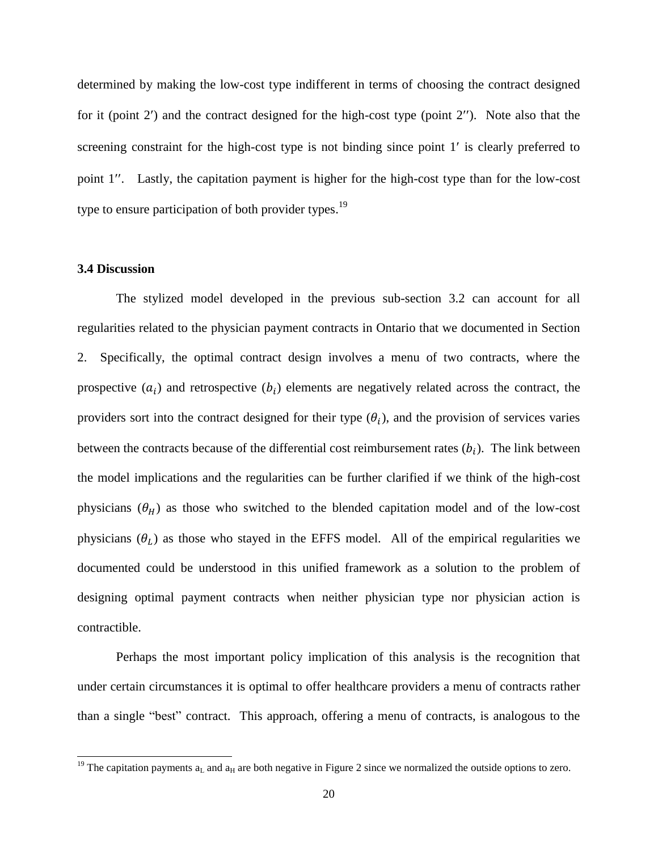determined by making the low-cost type indifferent in terms of choosing the contract designed for it (point 2') and the contract designed for the high-cost type (point  $2$ ''). Note also that the screening constraint for the high-cost type is not binding since point 1' is clearly preferred to point 1''. Lastly, the capitation payment is higher for the high-cost type than for the low-cost type to ensure participation of both provider types.<sup>19</sup>

#### **3.4 Discussion**

l

The stylized model developed in the previous sub-section 3.2 can account for all regularities related to the physician payment contracts in Ontario that we documented in Section 2. Specifically, the optimal contract design involves a menu of two contracts, where the prospective  $(a_i)$  and retrospective  $(b_i)$  elements are negatively related across the contract, the providers sort into the contract designed for their type  $(\theta_i)$ , and the provision of services varies between the contracts because of the differential cost reimbursement rates  $(b_i)$ . The link between the model implications and the regularities can be further clarified if we think of the high-cost physicians  $(\theta_H)$  as those who switched to the blended capitation model and of the low-cost physicians  $(\theta_L)$  as those who stayed in the EFFS model. All of the empirical regularities we documented could be understood in this unified framework as a solution to the problem of designing optimal payment contracts when neither physician type nor physician action is contractible.

Perhaps the most important policy implication of this analysis is the recognition that under certain circumstances it is optimal to offer healthcare providers a menu of contracts rather than a single "best" contract. This approach, offering a menu of contracts, is analogous to the

<sup>&</sup>lt;sup>19</sup> The capitation payments  $a_L$  and  $a_H$  are both negative in Figure 2 since we normalized the outside options to zero.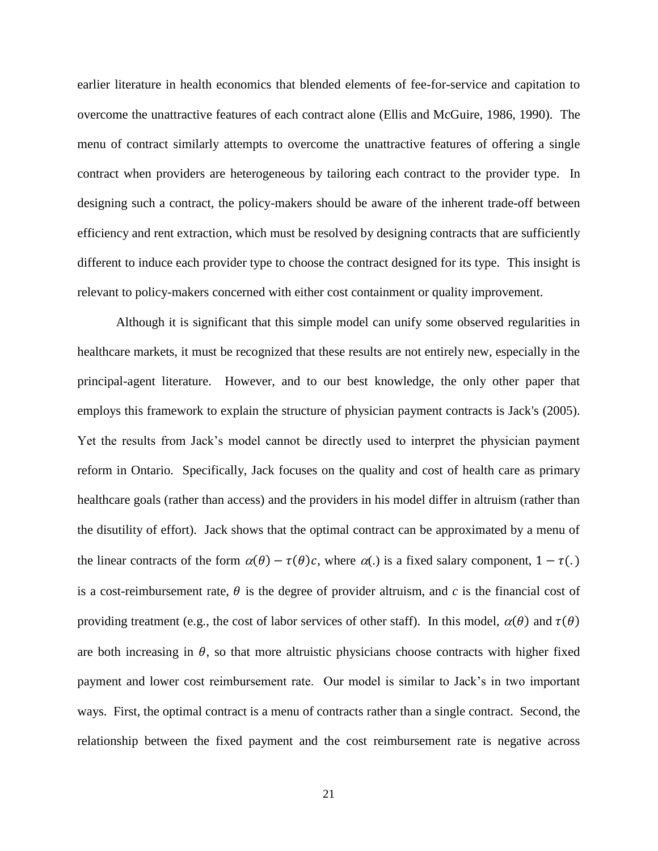earlier literature in health economics that blended elements of fee-for-service and capitation to overcome the unattractive features of each contract alone (Ellis and McGuire, 1986, 1990). The menu of contract similarly attempts to overcome the unattractive features of offering a single contract when providers are heterogeneous by tailoring each contract to the provider type. In designing such a contract, the policy-makers should be aware of the inherent trade-off between efficiency and rent extraction, which must be resolved by designing contracts that are sufficiently different to induce each provider type to choose the contract designed for its type. This insight is relevant to policy-makers concerned with either cost containment or quality improvement.

Although it is significant that this simple model can unify some observed regularities in healthcare markets, it must be recognized that these results are not entirely new, especially in the principal-agent literature. However, and to our best knowledge, the only other paper that employs this framework to explain the structure of physician payment contracts is Jack's (2005). Yet the results from Jack's model cannot be directly used to interpret the physician payment reform in Ontario. Specifically, Jack focuses on the quality and cost of health care as primary healthcare goals (rather than access) and the providers in his model differ in altruism (rather than the disutility of effort). Jack shows that the optimal contract can be approximated by a menu of the linear contracts of the form  $\alpha(\theta) - \tau(\theta)c$ , where  $\alpha(.)$  is a fixed salary component,  $1 - \tau(.)$ is a cost-reimbursement rate,  $\theta$  is the degree of provider altruism, and *c* is the financial cost of providing treatment (e.g., the cost of labor services of other staff). In this model,  $\alpha(\theta)$  and  $\tau(\theta)$ are both increasing in  $\theta$ , so that more altruistic physicians choose contracts with higher fixed payment and lower cost reimbursement rate. Our model is similar to Jack's in two important ways. First, the optimal contract is a menu of contracts rather than a single contract. Second, the relationship between the fixed payment and the cost reimbursement rate is negative across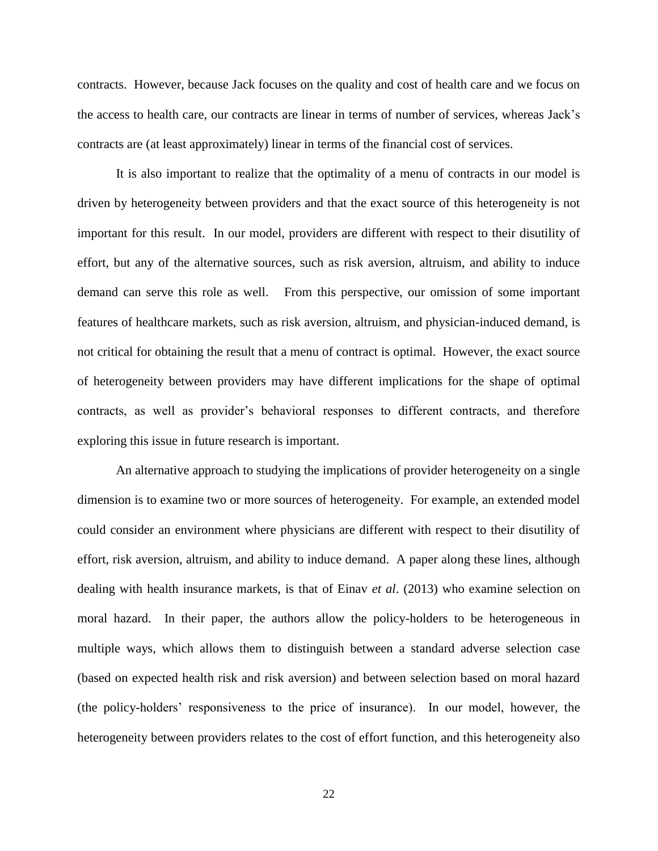contracts. However, because Jack focuses on the quality and cost of health care and we focus on the access to health care, our contracts are linear in terms of number of services, whereas Jack's contracts are (at least approximately) linear in terms of the financial cost of services.

It is also important to realize that the optimality of a menu of contracts in our model is driven by heterogeneity between providers and that the exact source of this heterogeneity is not important for this result. In our model, providers are different with respect to their disutility of effort, but any of the alternative sources, such as risk aversion, altruism, and ability to induce demand can serve this role as well. From this perspective, our omission of some important features of healthcare markets, such as risk aversion, altruism, and physician-induced demand, is not critical for obtaining the result that a menu of contract is optimal. However, the exact source of heterogeneity between providers may have different implications for the shape of optimal contracts, as well as provider's behavioral responses to different contracts, and therefore exploring this issue in future research is important.

An alternative approach to studying the implications of provider heterogeneity on a single dimension is to examine two or more sources of heterogeneity. For example, an extended model could consider an environment where physicians are different with respect to their disutility of effort, risk aversion, altruism, and ability to induce demand. A paper along these lines, although dealing with health insurance markets, is that of Einav *et al*. (2013) who examine selection on moral hazard. In their paper, the authors allow the policy-holders to be heterogeneous in multiple ways, which allows them to distinguish between a standard adverse selection case (based on expected health risk and risk aversion) and between selection based on moral hazard (the policy-holders' responsiveness to the price of insurance). In our model, however, the heterogeneity between providers relates to the cost of effort function, and this heterogeneity also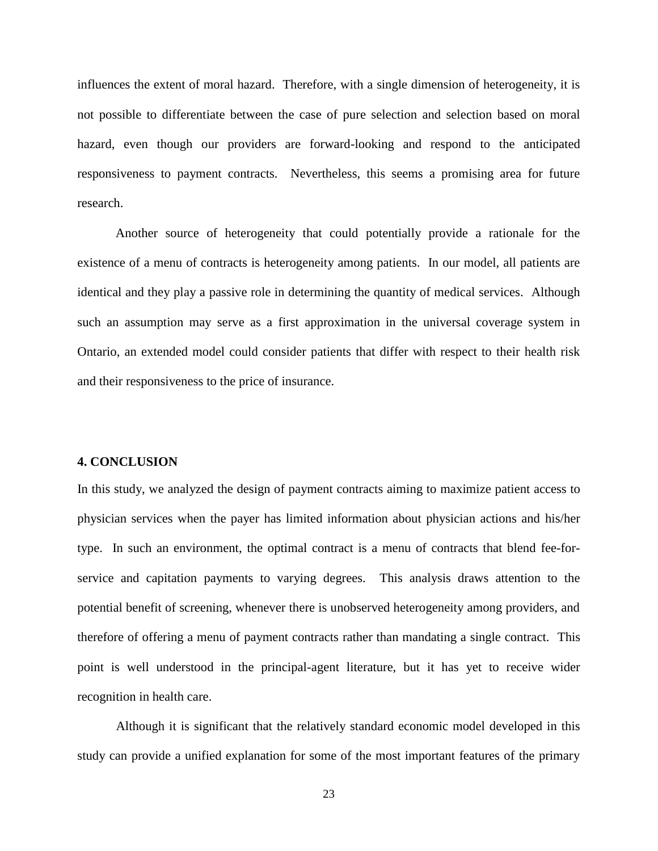influences the extent of moral hazard. Therefore, with a single dimension of heterogeneity, it is not possible to differentiate between the case of pure selection and selection based on moral hazard, even though our providers are forward-looking and respond to the anticipated responsiveness to payment contracts. Nevertheless, this seems a promising area for future research.

Another source of heterogeneity that could potentially provide a rationale for the existence of a menu of contracts is heterogeneity among patients. In our model, all patients are identical and they play a passive role in determining the quantity of medical services. Although such an assumption may serve as a first approximation in the universal coverage system in Ontario, an extended model could consider patients that differ with respect to their health risk and their responsiveness to the price of insurance.

#### **4. CONCLUSION**

In this study, we analyzed the design of payment contracts aiming to maximize patient access to physician services when the payer has limited information about physician actions and his/her type. In such an environment, the optimal contract is a menu of contracts that blend fee-forservice and capitation payments to varying degrees. This analysis draws attention to the potential benefit of screening, whenever there is unobserved heterogeneity among providers, and therefore of offering a menu of payment contracts rather than mandating a single contract. This point is well understood in the principal-agent literature, but it has yet to receive wider recognition in health care.

Although it is significant that the relatively standard economic model developed in this study can provide a unified explanation for some of the most important features of the primary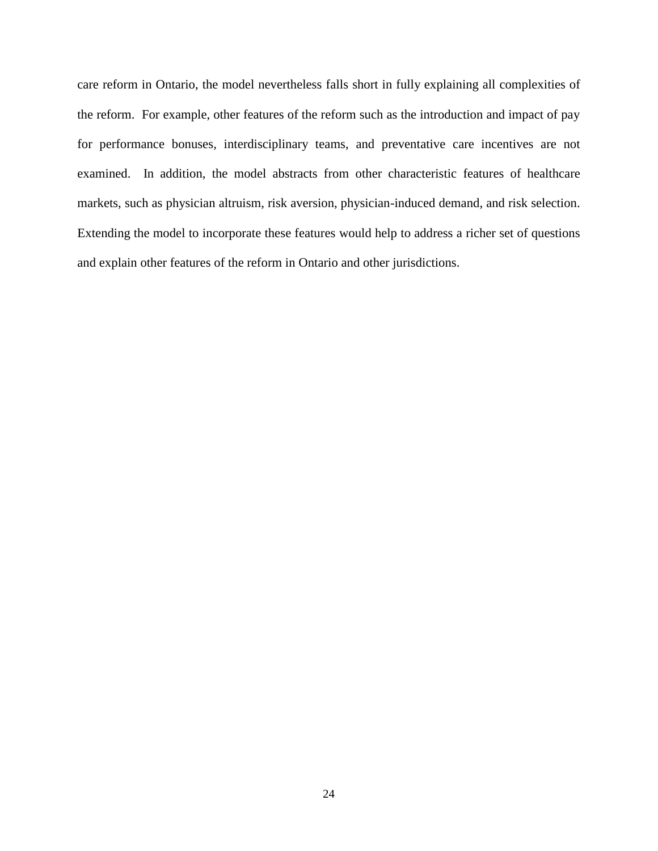care reform in Ontario, the model nevertheless falls short in fully explaining all complexities of the reform. For example, other features of the reform such as the introduction and impact of pay for performance bonuses, interdisciplinary teams, and preventative care incentives are not examined. In addition, the model abstracts from other characteristic features of healthcare markets, such as physician altruism, risk aversion, physician-induced demand, and risk selection. Extending the model to incorporate these features would help to address a richer set of questions and explain other features of the reform in Ontario and other jurisdictions.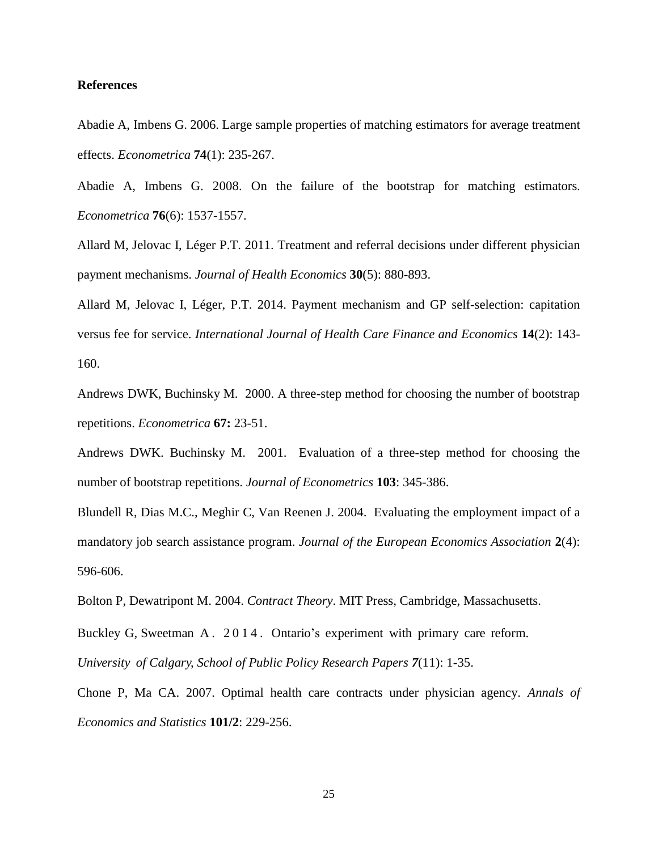#### **References**

Abadie A, Imbens G. 2006. Large sample properties of matching estimators for average treatment effects. *Econometrica* **74**(1): 235-267.

Abadie A, Imbens G. 2008. On the failure of the bootstrap for matching estimators. *Econometrica* **76**(6): 1537-1557.

Allard M, Jelovac I, Léger P.T. 2011. Treatment and referral decisions under different physician payment mechanisms. *Journal of Health Economics* **30**(5): 880-893.

Allard M, Jelovac I, Léger, P.T. 2014. Payment mechanism and GP self-selection: capitation versus fee for service. *International Journal of Health Care Finance and Economics* **14**(2): 143- 160.

Andrews DWK, Buchinsky M. 2000. A three-step method for choosing the number of bootstrap repetitions. *Econometrica* **67:** 23-51.

Andrews DWK. Buchinsky M. 2001. Evaluation of a three-step method for choosing the number of bootstrap repetitions. *Journal of Econometrics* **103**: 345-386.

Blundell R, Dias M.C., Meghir C, Van Reenen J. 2004. Evaluating the employment impact of a mandatory job search assistance program. *Journal of the European Economics Association* **2**(4): 596-606.

Bolton P, Dewatripont M. 2004. *Contract Theory*. MIT Press, Cambridge, Massachusetts.

Buckley G, Sweetman A. 2014. Ontario's experiment with primary care reform.

*University of Calgary*, *School of Public Policy Research Papers 7*(11): 1-35.

Chone P, Ma CA. 2007. Optimal health care contracts under physician agency. *Annals of Economics and Statistics* **101/2**: 229-256.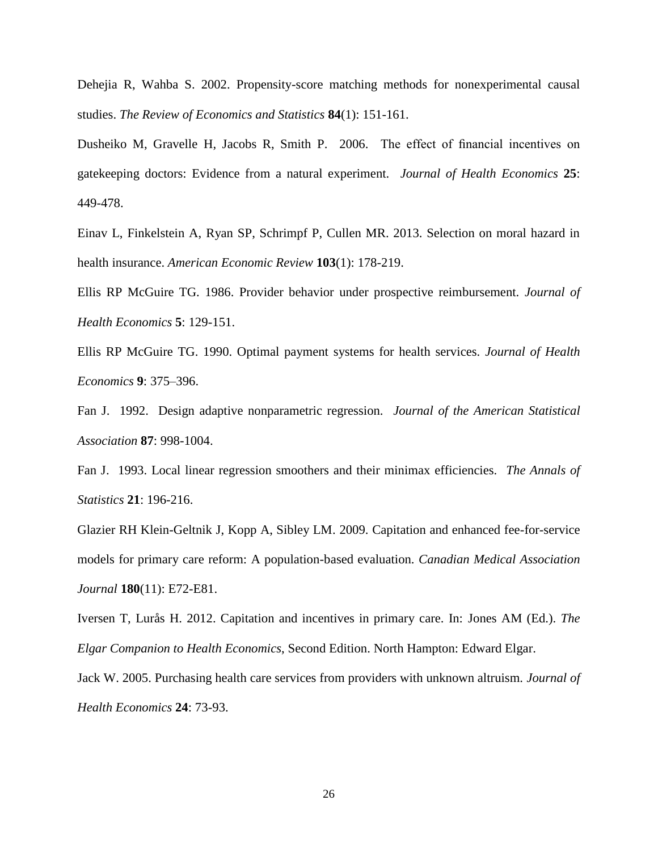Dehejia R, Wahba S. 2002. Propensity-score matching methods for nonexperimental causal studies. *The Review of Economics and Statistics* **84**(1): 151-161.

Dusheiko M, Gravelle H, Jacobs R, Smith P. 2006. The effect of financial incentives on gatekeeping doctors: Evidence from a natural experiment. *Journal of Health Economics* **25**: 449-478.

Einav L, Finkelstein A, Ryan SP, Schrimpf P, Cullen MR. 2013. Selection on moral hazard in health insurance. *American Economic Review* **103**(1): 178-219.

Ellis RP McGuire TG. 1986. Provider behavior under prospective reimbursement. *Journal of Health Economics* **5**: 129-151.

Ellis RP McGuire TG. 1990. Optimal payment systems for health services. *Journal of Health Economics* **9**: 375–396.

Fan J. 1992. Design adaptive nonparametric regression. *Journal of the American Statistical Association* **87**: 998-1004.

Fan J. 1993. Local linear regression smoothers and their minimax efficiencies. *The Annals of Statistics* **21**: 196-216.

Glazier RH Klein-Geltnik J, Kopp A, Sibley LM. 2009. Capitation and enhanced fee-for-service models for primary care reform: A population-based evaluation. *Canadian Medical Association Journal* **180**(11): E72-E81.

Iversen T, Lurås H. 2012. Capitation and incentives in primary care. In: Jones AM (Ed.). *The Elgar Companion to Health Economics*, Second Edition. North Hampton: Edward Elgar.

Jack W. 2005. Purchasing health care services from providers with unknown altruism. *Journal of Health Economics* **24**: 73-93.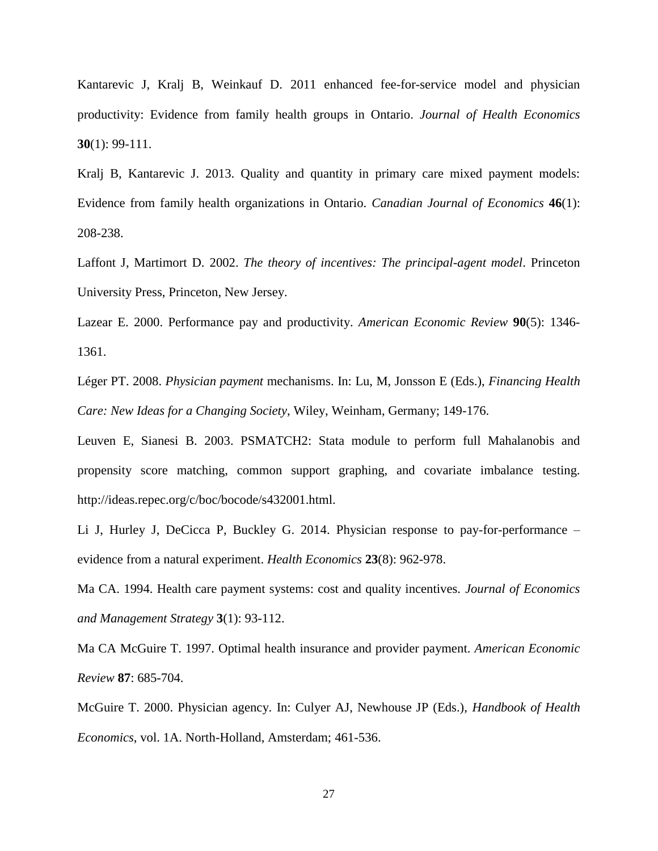Kantarevic J, Kralj B, Weinkauf D. 2011 enhanced fee-for-service model and physician productivity: Evidence from family health groups in Ontario. *Journal of Health Economics* **30**(1): 99-111.

Kralj B, Kantarevic J. 2013. Quality and quantity in primary care mixed payment models: Evidence from family health organizations in Ontario. *Canadian Journal of Economics* **46**(1): 208-238.

Laffont J, Martimort D. 2002. *The theory of incentives: The principal-agent model*. Princeton University Press, Princeton, New Jersey.

Lazear E. 2000. Performance pay and productivity. *American Economic Review* **90**(5): 1346- 1361.

Léger PT. 2008. *Physician payment* mechanisms. In: Lu, M, Jonsson E (Eds.), *Financing Health Care: New Ideas for a Changing Society*, Wiley, Weinham, Germany; 149-176.

Leuven E, Sianesi B. 2003. PSMATCH2: Stata module to perform full Mahalanobis and propensity score matching, common support graphing, and covariate imbalance testing. http://ideas.repec.org/c/boc/bocode/s432001.html.

Li J, Hurley J, DeCicca P, Buckley G. 2014. Physician response to pay-for-performance – evidence from a natural experiment. *Health Economics* **23**(8): 962-978.

Ma CA. 1994. Health care payment systems: cost and quality incentives. *Journal of Economics and Management Strategy* **3**(1): 93-112.

Ma CA McGuire T. 1997. Optimal health insurance and provider payment. *American Economic Review* **87**: 685-704.

McGuire T. 2000. Physician agency. In: Culyer AJ, Newhouse JP (Eds.), *Handbook of Health Economics*, vol. 1A. North-Holland, Amsterdam; 461-536.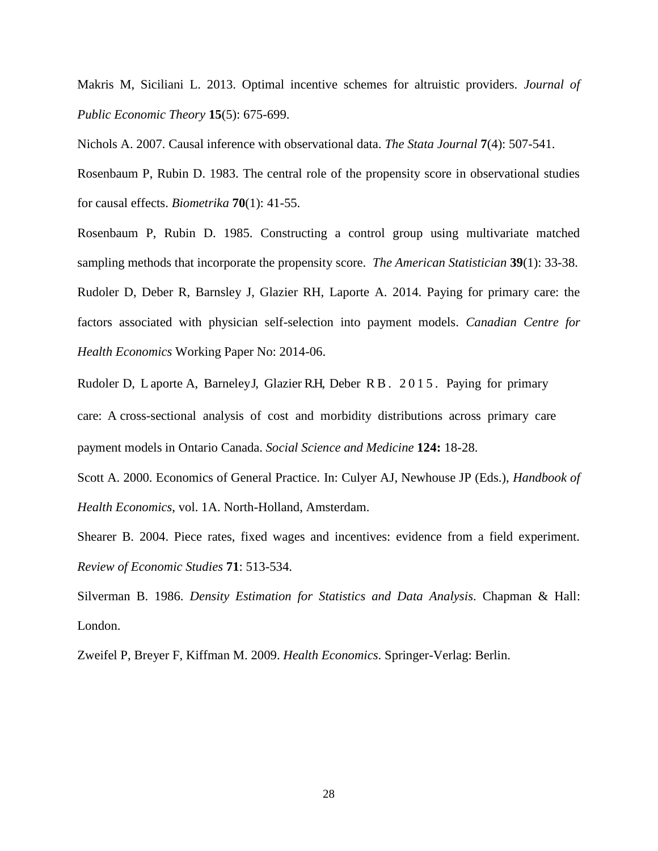Makris M, Siciliani L. 2013. Optimal incentive schemes for altruistic providers. *Journal of Public Economic Theory* **15**(5): 675-699.

Nichols A. 2007. Causal inference with observational data. *The Stata Journal* **7**(4): 507-541.

Rosenbaum P, Rubin D. 1983. The central role of the propensity score in observational studies for causal effects. *Biometrika* **70**(1): 41-55.

Rosenbaum P, Rubin D. 1985. Constructing a control group using multivariate matched sampling methods that incorporate the propensity score. *The American Statistician* **39**(1): 33-38. Rudoler D, Deber R, Barnsley J, Glazier RH, Laporte A. 2014. Paying for primary care: the factors associated with physician self-selection into payment models. *Canadian Centre for Health Economics* Working Paper No: 2014-06.

Rudoler D, L aporte A, Barneley J, Glazier R.H, Deber R B . 2 0 1 5 . Paying for primary care: A cross-sectional analysis of cost and morbidity distributions across primary care payment models in Ontario Canada. *Social Science and Medicine* **124:** 18-28.

Scott A. 2000. Economics of General Practice. In: Culyer AJ, Newhouse JP (Eds.), *Handbook of Health Economics*, vol. 1A. North-Holland, Amsterdam.

Shearer B. 2004. Piece rates, fixed wages and incentives: evidence from a field experiment. *Review of Economic Studies* **71**: 513-534.

Silverman B. 1986. *Density Estimation for Statistics and Data Analysis*. Chapman & Hall: London.

Zweifel P, Breyer F, Kiffman M. 2009. *Health Economics*. Springer-Verlag: Berlin.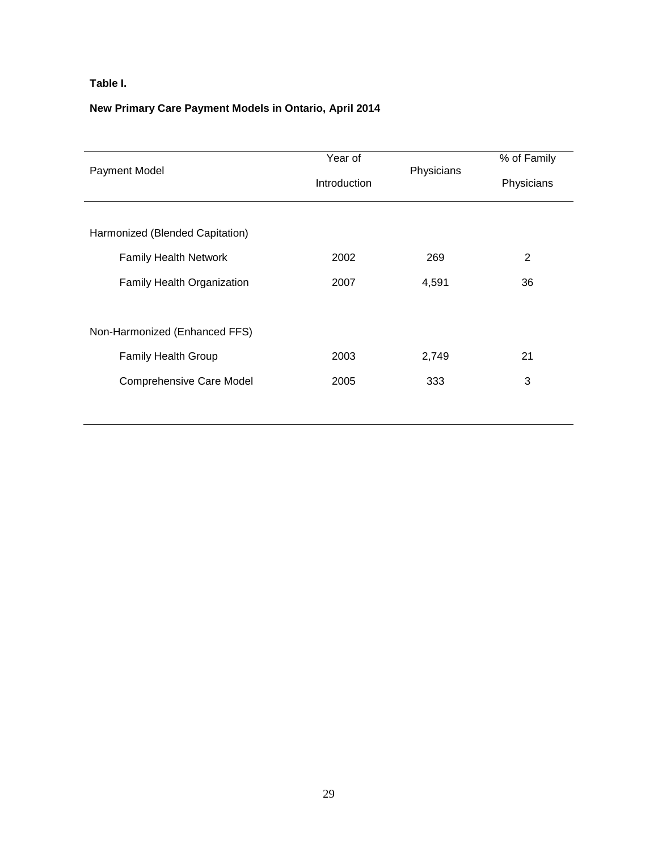### **Table I.**

### **New Primary Care Payment Models in Ontario, April 2014**

|                                 | Year of      |            | % of Family |
|---------------------------------|--------------|------------|-------------|
| Payment Model                   | Introduction | Physicians | Physicians  |
|                                 |              |            |             |
| Harmonized (Blended Capitation) |              |            |             |
| <b>Family Health Network</b>    | 2002         | 269        | 2           |
| Family Health Organization      | 2007         | 4,591      | 36          |
|                                 |              |            |             |
| Non-Harmonized (Enhanced FFS)   |              |            |             |
| <b>Family Health Group</b>      | 2003         | 2,749      | 21          |
| <b>Comprehensive Care Model</b> | 2005         | 333        | 3           |
|                                 |              |            |             |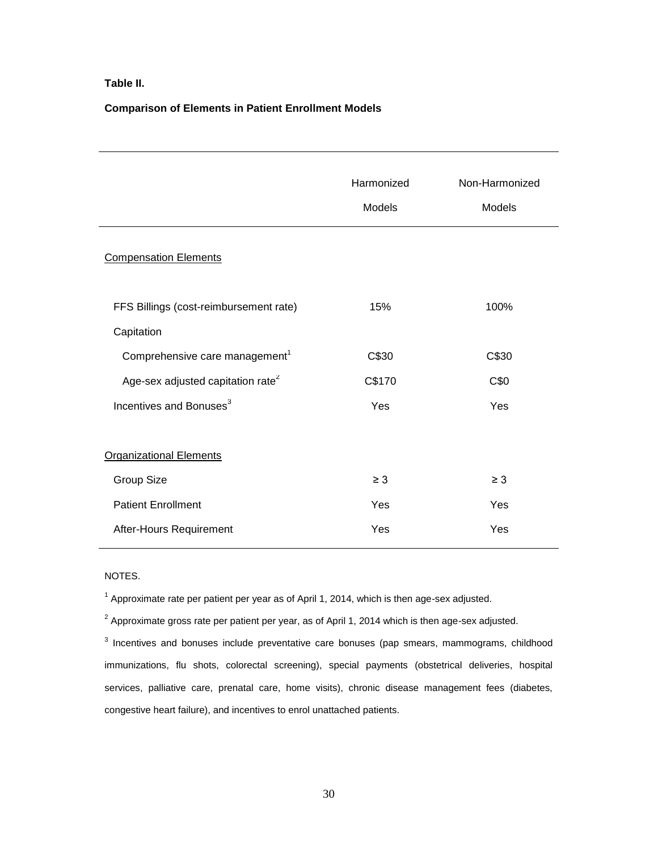#### **Table II.**

#### **Comparison of Elements in Patient Enrollment Models**

|                                                      | Harmonized<br>Models | Non-Harmonized<br>Models |
|------------------------------------------------------|----------------------|--------------------------|
| <b>Compensation Elements</b>                         |                      |                          |
| FFS Billings (cost-reimbursement rate)<br>Capitation | 15%                  | 100%                     |
| Comprehensive care management <sup>1</sup>           | C\$30                | C\$30                    |
| Age-sex adjusted capitation rate <sup>2</sup>        | C\$170               | C\$0                     |
| Incentives and Bonuses <sup>3</sup>                  | Yes                  | Yes                      |
| <b>Organizational Elements</b>                       |                      |                          |
| Group Size                                           | $\geq 3$             | $\geq 3$                 |
| <b>Patient Enrollment</b>                            | Yes                  | Yes                      |
| After-Hours Requirement                              | Yes                  | Yes                      |

#### NOTES.

 $1$  Approximate rate per patient per year as of April 1, 2014, which is then age-sex adjusted.

 $^2$  Approximate gross rate per patient per year, as of April 1, 2014 which is then age-sex adjusted.

 $3$  Incentives and bonuses include preventative care bonuses (pap smears, mammograms, childhood immunizations, flu shots, colorectal screening), special payments (obstetrical deliveries, hospital services, palliative care, prenatal care, home visits), chronic disease management fees (diabetes, congestive heart failure), and incentives to enrol unattached patients.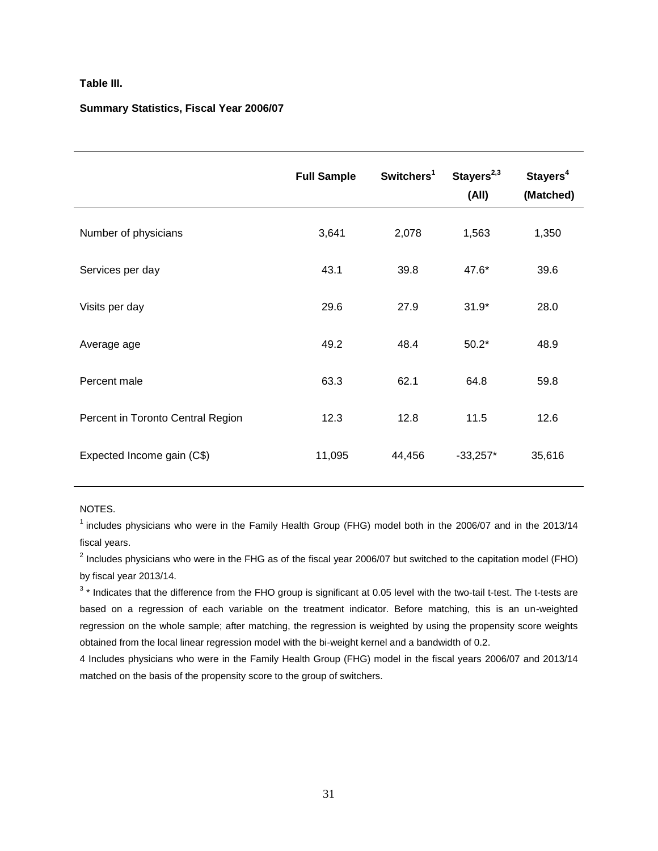#### **Table III.**

#### **Summary Statistics, Fiscal Year 2006/07**

|                                   | <b>Full Sample</b> | Switchers <sup>1</sup> | Stayers <sup>2,3</sup><br>(All) | Stayers <sup>4</sup><br>(Matched) |
|-----------------------------------|--------------------|------------------------|---------------------------------|-----------------------------------|
| Number of physicians              | 3,641              | 2,078                  | 1,563                           | 1,350                             |
| Services per day                  | 43.1               | 39.8                   | 47.6*                           | 39.6                              |
| Visits per day                    | 29.6               | 27.9                   | $31.9*$                         | 28.0                              |
| Average age                       | 49.2               | 48.4                   | $50.2*$                         | 48.9                              |
| Percent male                      | 63.3               | 62.1                   | 64.8                            | 59.8                              |
| Percent in Toronto Central Region | 12.3               | 12.8                   | 11.5                            | 12.6                              |
| Expected Income gain (C\$)        | 11,095             | 44,456                 | $-33,257*$                      | 35,616                            |

#### NOTES.

 $1$  includes physicians who were in the Family Health Group (FHG) model both in the 2006/07 and in the 2013/14 fiscal years.

<sup>2</sup> Includes physicians who were in the FHG as of the fiscal year 2006/07 but switched to the capitation model (FHO) by fiscal year 2013/14.

 $3 *$  Indicates that the difference from the FHO group is significant at 0.05 level with the two-tail t-test. The t-tests are based on a regression of each variable on the treatment indicator. Before matching, this is an un-weighted regression on the whole sample; after matching, the regression is weighted by using the propensity score weights obtained from the local linear regression model with the bi-weight kernel and a bandwidth of 0.2.

4 Includes physicians who were in the Family Health Group (FHG) model in the fiscal years 2006/07 and 2013/14 matched on the basis of the propensity score to the group of switchers.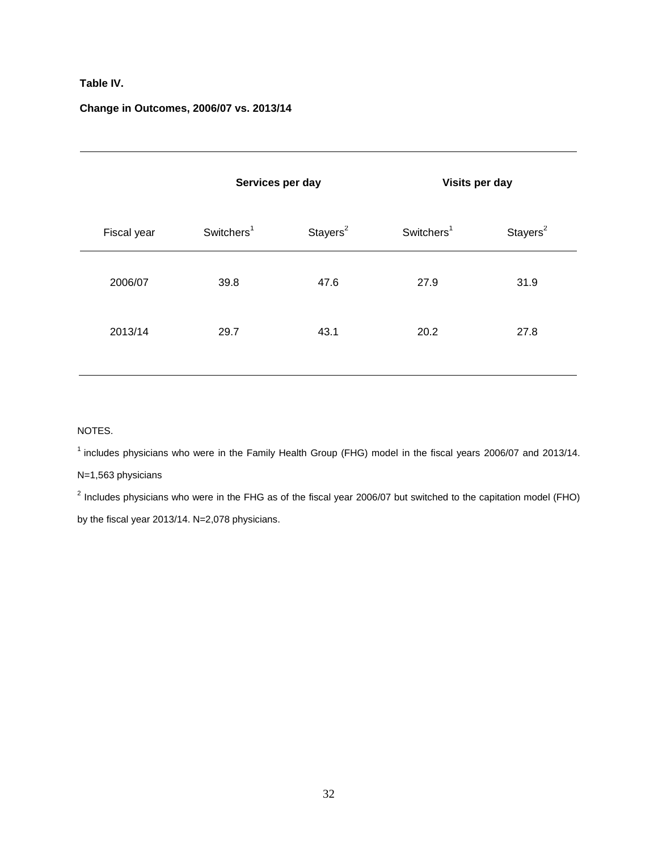#### **Table IV.**

#### **Change in Outcomes, 2006/07 vs. 2013/14**

|             | Services per day       |             | Visits per day         |             |
|-------------|------------------------|-------------|------------------------|-------------|
| Fiscal year | Switchers <sup>1</sup> | Stayers $2$ | Switchers <sup>1</sup> | Stayers $2$ |
| 2006/07     | 39.8                   | 47.6        | 27.9                   | 31.9        |
| 2013/14     | 29.7                   | 43.1        | 20.2                   | 27.8        |
|             |                        |             |                        |             |

#### NOTES.

 $1$  includes physicians who were in the Family Health Group (FHG) model in the fiscal years 2006/07 and 2013/14.

#### N=1,563 physicians

<sup>2</sup> Includes physicians who were in the FHG as of the fiscal year 2006/07 but switched to the capitation model (FHO) by the fiscal year 2013/14. N=2,078 physicians.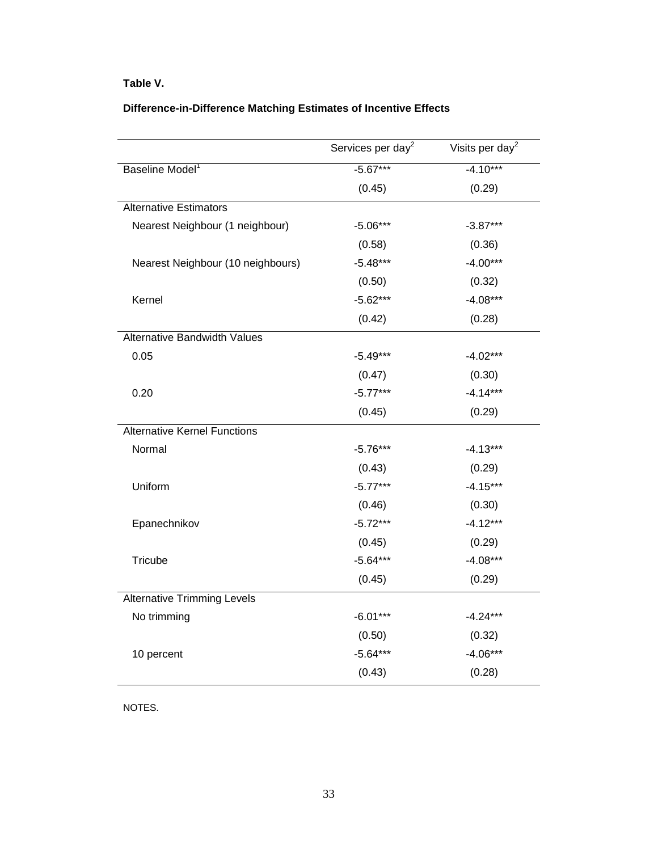#### **Table V.**

### **Difference-in-Difference Matching Estimates of Incentive Effects**

|                                     | Services per day <sup>2</sup> | Visits per day <sup>2</sup> |
|-------------------------------------|-------------------------------|-----------------------------|
| Baseline Model <sup>1</sup>         | $-5.67***$                    | $-4.10***$                  |
|                                     | (0.45)                        | (0.29)                      |
| <b>Alternative Estimators</b>       |                               |                             |
| Nearest Neighbour (1 neighbour)     | $-5.06***$                    | $-3.87***$                  |
|                                     | (0.58)                        | (0.36)                      |
| Nearest Neighbour (10 neighbours)   | $-5.48***$                    | $-4.00***$                  |
|                                     | (0.50)                        | (0.32)                      |
| Kernel                              | $-5.62***$                    | $-4.08***$                  |
|                                     | (0.42)                        | (0.28)                      |
| <b>Alternative Bandwidth Values</b> |                               |                             |
| 0.05                                | $-5.49***$                    | $-4.02***$                  |
|                                     | (0.47)                        | (0.30)                      |
| 0.20                                | $-5.77***$                    | $-4.14***$                  |
|                                     | (0.45)                        | (0.29)                      |
| <b>Alternative Kernel Functions</b> |                               |                             |
| Normal                              | $-5.76***$                    | $-4.13***$                  |
|                                     | (0.43)                        | (0.29)                      |
| Uniform                             | $-5.77***$                    | $-4.15***$                  |
|                                     | (0.46)                        | (0.30)                      |
| Epanechnikov                        | $-5.72***$                    | $-4.12***$                  |
|                                     | (0.45)                        | (0.29)                      |
| Tricube                             | $-5.64***$                    | $-4.08***$                  |
|                                     | (0.45)                        | (0.29)                      |
| <b>Alternative Trimming Levels</b>  |                               |                             |
| No trimming                         | $-6.01***$                    | $-4.24***$                  |
|                                     | (0.50)                        | (0.32)                      |
| 10 percent                          | $-5.64***$                    | $-4.06***$                  |
|                                     | (0.43)                        | (0.28)                      |

NOTES.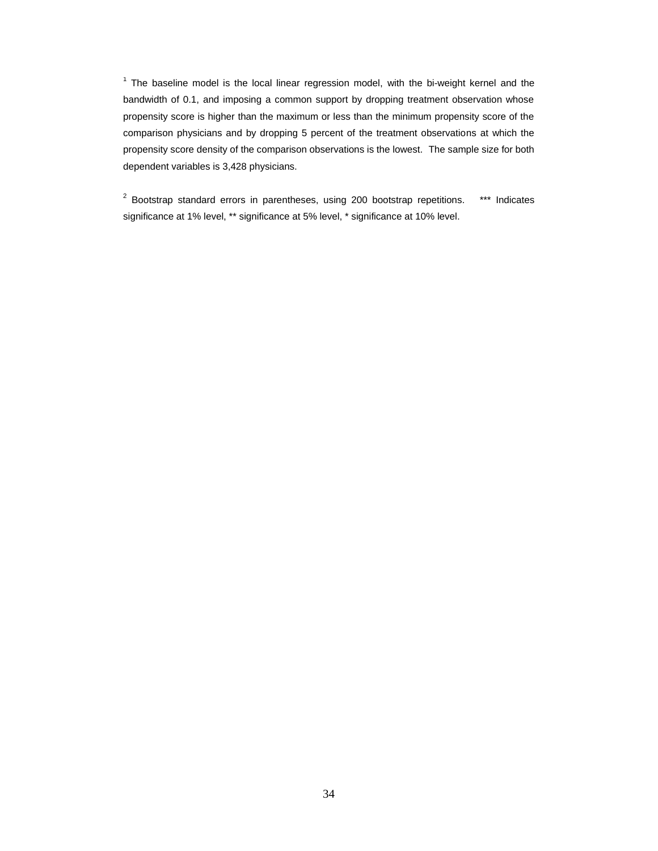$1$  The baseline model is the local linear regression model, with the bi-weight kernel and the bandwidth of 0.1, and imposing a common support by dropping treatment observation whose propensity score is higher than the maximum or less than the minimum propensity score of the comparison physicians and by dropping 5 percent of the treatment observations at which the propensity score density of the comparison observations is the lowest. The sample size for both dependent variables is 3,428 physicians.

 $2$  Bootstrap standard errors in parentheses, using 200 bootstrap repetitions. \*\*\* Indicates significance at 1% level, \*\* significance at 5% level, \* significance at 10% level.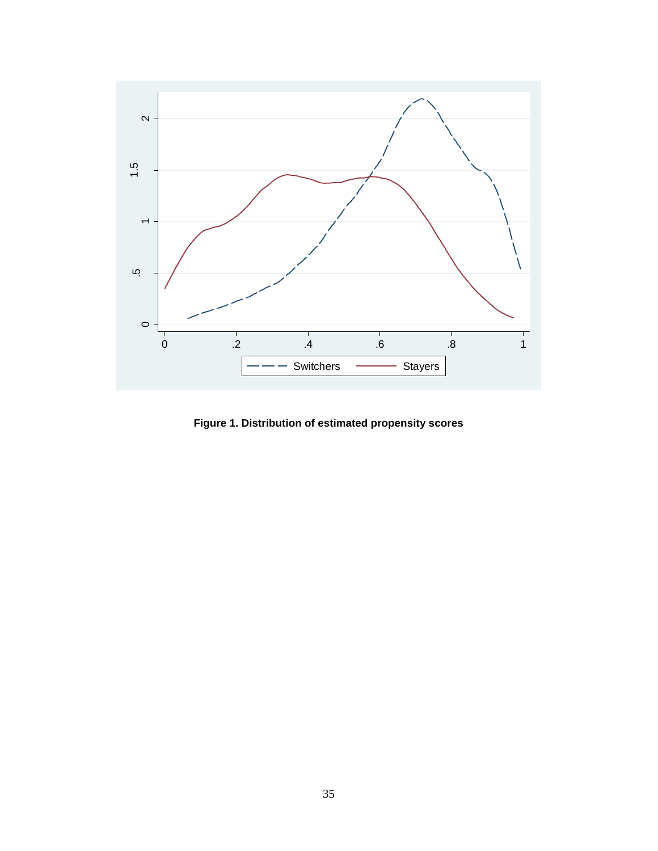

**Figure 1. Distribution of estimated propensity scores**